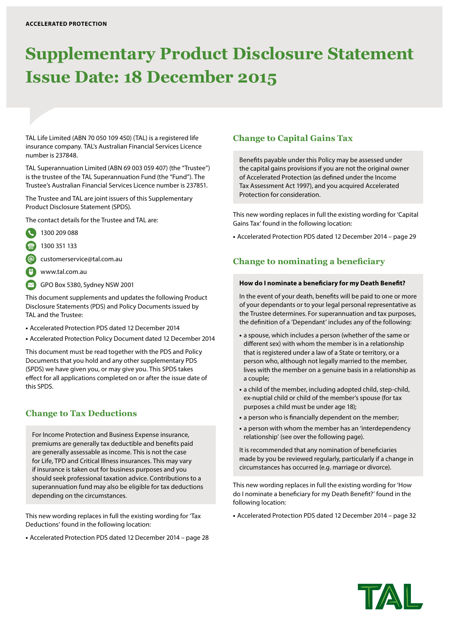# **Supplementary Product Disclosure Statement Issue Date: 18 December 2015**

TAL Life Limited (ABN 70 050 109 450) (TAL) is a registered life insurance company. TAL's Australian Financial Services Licence number is 237848.

TAL Superannuation Limited (ABN 69 003 059 407) (the "Trustee") is the trustee of the TAL Superannuation Fund (the "Fund"). The Trustee's Australian Financial Services Licence number is 237851.

The Trustee and TAL are joint issuers of this Supplementary Product Disclosure Statement (SPDS).

The contact details for the Trustee and TAL are:

- 1300 209 088
- 1300 351 133

customerservice@tal.com.au

- www.tal.com.au
- GPO Box 5380, Sydney NSW 2001

This document supplements and updates the following Product Disclosure Statements (PDS) and Policy Documents issued by TAL and the Trustee:

- **•** Accelerated Protection PDS dated 12 December 2014
- **•** Accelerated Protection Policy Document dated 12 December 2014

This document must be read together with the PDS and Policy Documents that you hold and any other supplementary PDS (SPDS) we have given you, or may give you. This SPDS takes effect for all applications completed on or after the issue date of this SPDS.

## **Change to Tax Deductions**

For Income Protection and Business Expense insurance, premiums are generally tax deductible and benefits paid are generally assessable as income. This is not the case for Life, TPD and Critical Illness insurances. This may vary if insurance is taken out for business purposes and you should seek professional taxation advice. Contributions to a superannuation fund may also be eligible for tax deductions depending on the circumstances.

This new wording replaces in full the existing wording for 'Tax Deductions' found in the following location:

**•** Accelerated Protection PDS dated 12 December 2014 – page 28

## **Change to Capital Gains Tax**

Benefits payable under this Policy may be assessed under the capital gains provisions if you are not the original owner of Accelerated Protection (as defined under the Income Tax Assessment Act 1997), and you acquired Accelerated Protection for consideration.

This new wording replaces in full the existing wording for 'Capital Gains Tax' found in the following location:

**•** Accelerated Protection PDS dated 12 December 2014 – page 29

## **Change to nominating a beneficiary**

#### **How do I nominate a beneficiary for my Death Benefit?**

In the event of your death, benefits will be paid to one or more of your dependants or to your legal personal representative as the Trustee determines. For superannuation and tax purposes, the definition of a 'Dependant' includes any of the following:

- **•** a spouse, which includes a person (whether of the same or different sex) with whom the member is in a relationship that is registered under a law of a State or territory, or a person who, although not legally married to the member, lives with the member on a genuine basis in a relationship as a couple;
- **•** a child of the member, including adopted child, step-child, ex-nuptial child or child of the member's spouse (for tax purposes a child must be under age 18);
- **•** a person who is financially dependent on the member;
- **•** a person with whom the member has an 'interdependency relationship' (see over the following page).

It is recommended that any nomination of beneficiaries made by you be reviewed regularly, particularly if a change in circumstances has occurred (e.g. marriage or divorce).

This new wording replaces in full the existing wording for 'How do I nominate a beneficiary for my Death Benefit?' found in the following location:

**•** Accelerated Protection PDS dated 12 December 2014 – page 32

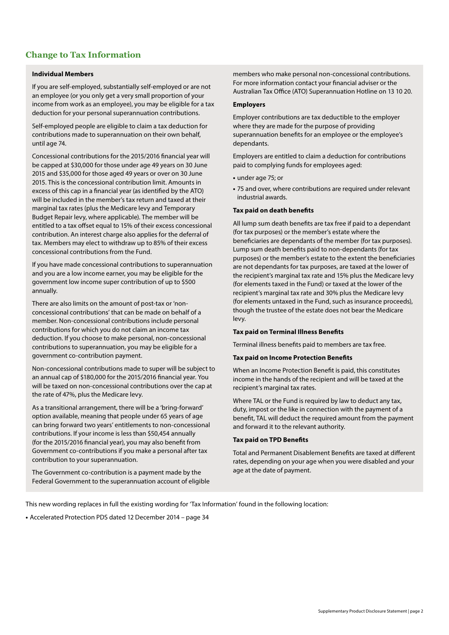## **Change to Tax Information**

#### **Individual Members**

If you are self-employed, substantially self-employed or are not an employee (or you only get a very small proportion of your income from work as an employee), you may be eligible for a tax deduction for your personal superannuation contributions.

Self-employed people are eligible to claim a tax deduction for contributions made to superannuation on their own behalf, until age 74.

Concessional contributions for the 2015/2016 financial year will be capped at \$30,000 for those under age 49 years on 30 June 2015 and \$35,000 for those aged 49 years or over on 30 June 2015. This is the concessional contribution limit. Amounts in excess of this cap in a financial year (as identified by the ATO) will be included in the member's tax return and taxed at their marginal tax rates (plus the Medicare levy and Temporary Budget Repair levy, where applicable). The member will be entitled to a tax offset equal to 15% of their excess concessional contribution. An interest charge also applies for the deferral of tax. Members may elect to withdraw up to 85% of their excess concessional contributions from the Fund.

If you have made concessional contributions to superannuation and you are a low income earner, you may be eligible for the government low income super contribution of up to \$500 annually.

There are also limits on the amount of post-tax or 'nonconcessional contributions' that can be made on behalf of a member. Non-concessional contributions include personal contributions for which you do not claim an income tax deduction. If you choose to make personal, non-concessional contributions to superannuation, you may be eligible for a government co-contribution payment.

Non-concessional contributions made to super will be subject to an annual cap of \$180,000 for the 2015/2016 financial year. You will be taxed on non-concessional contributions over the cap at the rate of 47%, plus the Medicare levy.

As a transitional arrangement, there will be a 'bring-forward' option available, meaning that people under 65 years of age can bring forward two years' entitlements to non-concessional contributions. If your income is less than \$50,454 annually (for the 2015/2016 financial year), you may also benefit from Government co-contributions if you make a personal after tax contribution to your superannuation.

The Government co-contribution is a payment made by the Federal Government to the superannuation account of eligible members who make personal non-concessional contributions. For more information contact your financial adviser or the Australian Tax Office (ATO) Superannuation Hotline on 13 10 20.

#### **Employers**

Employer contributions are tax deductible to the employer where they are made for the purpose of providing superannuation benefits for an employee or the employee's dependants.

Employers are entitled to claim a deduction for contributions paid to complying funds for employees aged:

- **•** under age 75; or
- **•** 75 and over, where contributions are required under relevant industrial awards.

#### **Tax paid on death benefits**

All lump sum death benefits are tax free if paid to a dependant (for tax purposes) or the member's estate where the beneficiaries are dependants of the member (for tax purposes). Lump sum death benefits paid to non-dependants (for tax purposes) or the member's estate to the extent the beneficiaries are not dependants for tax purposes, are taxed at the lower of the recipient's marginal tax rate and 15% plus the Medicare levy (for elements taxed in the Fund) or taxed at the lower of the recipient's marginal tax rate and 30% plus the Medicare levy (for elements untaxed in the Fund, such as insurance proceeds), though the trustee of the estate does not bear the Medicare levy.

#### **Tax paid on Terminal Illness Benefits**

Terminal illness benefits paid to members are tax free.

#### **Tax paid on Income Protection Benefits**

When an Income Protection Benefit is paid, this constitutes income in the hands of the recipient and will be taxed at the recipient's marginal tax rates.

Where TAL or the Fund is required by law to deduct any tax, duty, impost or the like in connection with the payment of a benefit, TAL will deduct the required amount from the payment and forward it to the relevant authority.

#### **Tax paid on TPD Benefits**

Total and Permanent Disablement Benefits are taxed at different rates, depending on your age when you were disabled and your age at the date of payment.

This new wording replaces in full the existing wording for 'Tax Information' found in the following location: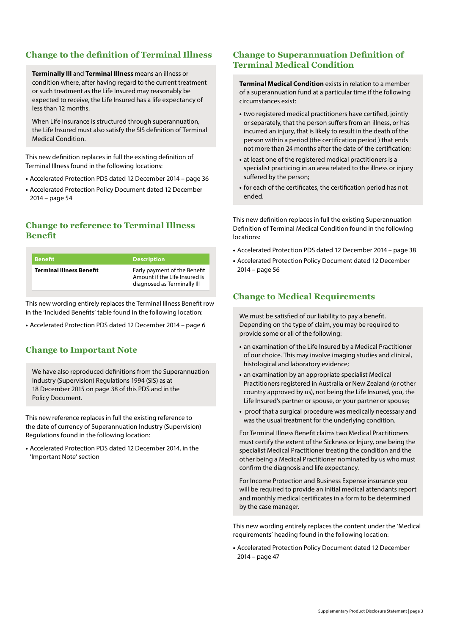## **Change to the definition of Terminal Illness**

**Terminally Ill** and **Terminal Illness** means an illness or condition where, after having regard to the current treatment or such treatment as the Life Insured may reasonably be expected to receive, the Life Insured has a life expectancy of less than 12 months.

When Life Insurance is structured through superannuation, the Life Insured must also satisfy the SIS definition of Terminal Medical Condition.

This new definition replaces in full the existing definition of Terminal Illness found in the following locations:

- **•** Accelerated Protection PDS dated 12 December 2014 page 36
- **•** Accelerated Protection Policy Document dated 12 December 2014 – page 54

## **Change to reference to Terminal Illness Benefit**

| <b>Benefit</b>                  | <b>Description</b>                                                                           |
|---------------------------------|----------------------------------------------------------------------------------------------|
| <b>Terminal Illness Benefit</b> | Early payment of the Benefit<br>Amount if the Life Insured is<br>diagnosed as Terminally Ill |

This new wording entirely replaces the Terminal Illness Benefit row in the 'Included Benefits' table found in the following location:

**•** Accelerated Protection PDS dated 12 December 2014 – page 6

## **Change to Important Note**

We have also reproduced definitions from the Superannuation Industry (Supervision) Regulations 1994 (SIS) as at 18 December 2015 on page 38 of this PDS and in the Policy Document.

This new reference replaces in full the existing reference to the date of currency of Superannuation Industry (Supervision) Regulations found in the following location:

**•** Accelerated Protection PDS dated 12 December 2014, in the 'Important Note' section

## **Change to Superannuation Definition of Terminal Medical Condition**

**Terminal Medical Condition** exists in relation to a member of a superannuation fund at a particular time if the following circumstances exist:

- **•** two registered medical practitioners have certified, jointly or separately, that the person suffers from an illness, or has incurred an injury, that is likely to result in the death of the person within a period (the certification period ) that ends not more than 24 months after the date of the certification;
- **•** at least one of the registered medical practitioners is a specialist practicing in an area related to the illness or injury suffered by the person;
- **•** for each of the certificates, the certification period has not ended.

This new definition replaces in full the existing Superannuation Definition of Terminal Medical Condition found in the following locations:

- **•** Accelerated Protection PDS dated 12 December 2014 page 38
- **•** Accelerated Protection Policy Document dated 12 December 2014 – page 56

## **Change to Medical Requirements**

We must be satisfied of our liability to pay a benefit. Depending on the type of claim, you may be required to provide some or all of the following:

- **•** an examination of the Life Insured by a Medical Practitioner of our choice. This may involve imaging studies and clinical, histological and laboratory evidence;
- **•** an examination by an appropriate specialist Medical Practitioners registered in Australia or New Zealand (or other country approved by us), not being the Life Insured, you, the Life Insured's partner or spouse, or your partner or spouse;
- **•** proof that a surgical procedure was medically necessary and was the usual treatment for the underlying condition.

For Terminal Illness Benefit claims two Medical Practitioners must certify the extent of the Sickness or Injury, one being the specialist Medical Practitioner treating the condition and the other being a Medical Practitioner nominated by us who must confirm the diagnosis and life expectancy.

For Income Protection and Business Expense insurance you will be required to provide an initial medical attendants report and monthly medical certificates in a form to be determined by the case manager.

This new wording entirely replaces the content under the 'Medical requirements' heading found in the following location:

**•** Accelerated Protection Policy Document dated 12 December 2014 – page 47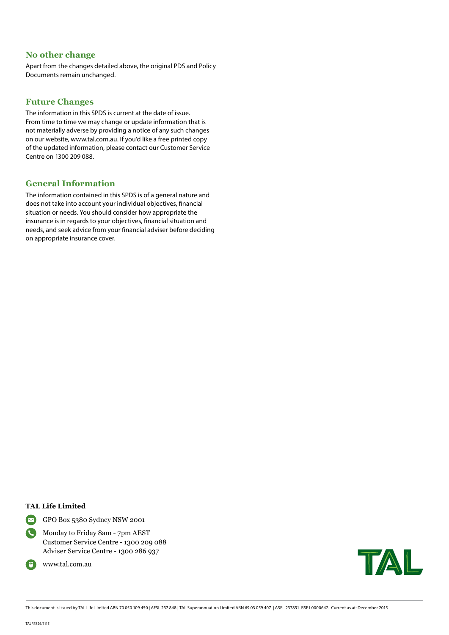## **No other change**

Apart from the changes detailed above, the original PDS and Policy Documents remain unchanged.

## **Future Changes**

The information in this SPDS is current at the date of issue. From time to time we may change or update information that is not materially adverse by providing a notice of any such changes on our website, www.tal.com.au. If you'd like a free printed copy of the updated information, please contact our Customer Service Centre on 1300 209 088.

## **General Information**

The information contained in this SPDS is of a general nature and does not take into account your individual objectives, financial situation or needs. You should consider how appropriate the insurance is in regards to your objectives, financial situation and needs, and seek advice from your financial adviser before deciding on appropriate insurance cover.

#### **TAL Life Limited**



GPO Box 5380 Sydney NSW 2001

 Monday to Friday 8am - 7pm AEST Customer Service Centre - 1300 209 088 Adviser Service Centre - 1300 286 937



TAL

This document is issued by TAL Life Limited ABN 70 050 109 450 | AFSL 237 848 | TAL Superannuation Limited ABN 69 03 059 407 | ASFL 237851 RSE L0000642. Current as at: December 2015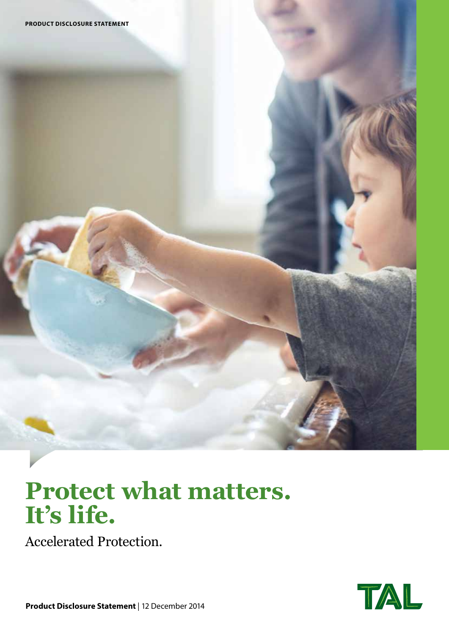# **Protect what matters. It's life.**

Accelerated Protection.

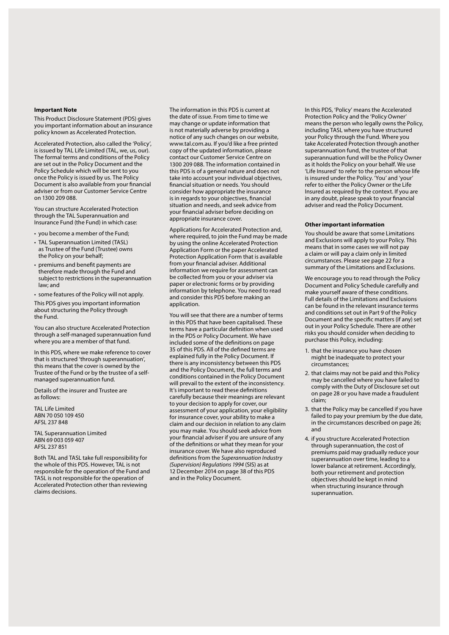#### **Important Note**

This Product Disclosure Statement (PDS) gives you important information about an insurance policy known as Accelerated Protection.

Accelerated Protection, also called the 'Policy', is issued by TAL Life Limited (TAL, we, us, our). The formal terms and conditions of the Policy are set out in the Policy Document and the Policy Schedule which will be sent to you once the Policy is issued by us. The Policy Document is also available from your financial adviser or from our Customer Service Centre on 1300 209 088.

You can structure Accelerated Protection through the TAL Superannuation and Insurance Fund (the Fund) in which case:

- you become a member of the Fund;
- TAL Superannuation Limited (TASL) as Trustee of the Fund (Trustee) owns the Policy on your behalf;
- premiums and benefit payments are therefore made through the Fund and subject to restrictions in the superannuation law; and
- some features of the Policy will not apply.

This PDS gives you important information about structuring the Policy through the Fund.

You can also structure Accelerated Protection through a self-managed superannuation fund where you are a member of that fund.

In this PDS, where we make reference to cover that is structured 'through superannuation', this means that the cover is owned by the Trustee of the Fund or by the trustee of a selfmanaged superannuation fund.

Details of the insurer and Trustee are as follows:

TAL Life Limited ABN 70 050 109 450 AFSL 237 848

TAL Superannuation Limited ABN 69 003 059 407 AFSL 237 851

Both TAL and TASL take full responsibility for the whole of this PDS. However, TAL is not responsible for the operation of the Fund and TASL is not responsible for the operation of Accelerated Protection other than reviewing claims decisions.

The information in this PDS is current at the date of issue. From time to time we may change or update information that is not materially adverse by providing a notice of any such changes on our website, www.tal.com.au. If you'd like a free printed copy of the updated information, please contact our Customer Service Centre on 1300 209 088. The information contained in this PDS is of a general nature and does not take into account your individual objectives, financial situation or needs. You should consider how appropriate the insurance is in regards to your objectives, financial situation and needs, and seek advice from your financial adviser before deciding on appropriate insurance cover.

Applications for Accelerated Protection and, where required, to join the Fund may be made by using the online Accelerated Protection Application Form or the paper Accelerated Protection Application Form that is available from your financial adviser. Additional information we require for assessment can be collected from you or your adviser via paper or electronic forms or by providing information by telephone. You need to read and consider this PDS before making an application.

You will see that there are a number of terms in this PDS that have been capitalised. These terms have a particular definition when used in the PDS or Policy Document. We have included some of the definitions on page 35 of this PDS. All of the defined terms are explained fully in the Policy Document. If there is any inconsistency between this PDS and the Policy Document, the full terms and conditions contained in the Policy Document will prevail to the extent of the inconsistency. It's important to read these definitions carefully because their meanings are relevant to your decision to apply for cover, our assessment of your application, your eligibility for insurance cover, your ability to make a claim and our decision in relation to any claim you may make. You should seek advice from your financial adviser if you are unsure of any of the definitions or what they mean for your insurance cover. We have also reproduced definitions from the *Superannuation Industry (Supervision) Regulations 1994* (SIS) as at 12 December 2014 on page 38 of this PDS and in the Policy Document.

In this PDS, 'Policy' means the Accelerated Protection Policy and the 'Policy Owner' means the person who legally owns the Policy, including TASL where you have structured your Policy through the Fund. Where you take Accelerated Protection through another superannuation fund, the trustee of that superannuation fund will be the Policy Owner as it holds the Policy on your behalf. We use 'Life Insured' to refer to the person whose life is insured under the Policy. 'You' and 'your' refer to either the Policy Owner or the Life Insured as required by the context. If you are in any doubt, please speak to your financial adviser and read the Policy Document.

#### **Other important information**

You should be aware that some Limitations and Exclusions will apply to your Policy. This means that in some cases we will not pay a claim or will pay a claim only in limited circumstances. Please see page 22 for a summary of the Limitations and Exclusions.

We encourage you to read through the Policy Document and Policy Schedule carefully and make yourself aware of these conditions. Full details of the Limitations and Exclusions can be found in the relevant insurance terms and conditions set out in Part 9 of the Policy Document and the specific matters (if any) set out in your Policy Schedule. There are other risks you should consider when deciding to purchase this Policy, including:

- 1. that the insurance you have chosen might be inadequate to protect your circumstances;
- 2. that claims may not be paid and this Policy may be cancelled where you have failed to comply with the Duty of Disclosure set out on page 28 or you have made a fraudulent claim;
- 3. that the Policy may be cancelled if you have failed to pay your premium by the due date, in the circumstances described on page 26; and
- 4. if you structure Accelerated Protection through superannuation, the cost of premiums paid may gradually reduce your superannuation over time, leading to a lower balance at retirement. Accordingly, both your retirement and protection objectives should be kept in mind when structuring insurance through superannuation.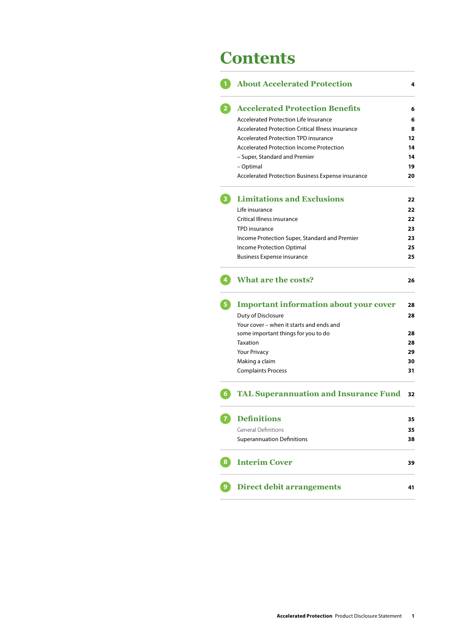## **Contents**

|    | <b>About Accelerated Protection</b>                      | 4  |
|----|----------------------------------------------------------|----|
|    | <b>Accelerated Protection Benefits</b>                   | 6  |
|    | Accelerated Protection Life Insurance                    | 6  |
|    | <b>Accelerated Protection Critical Illness insurance</b> | 8  |
|    | <b>Accelerated Protection TPD insurance</b>              | 12 |
|    | <b>Accelerated Protection Income Protection</b>          | 14 |
|    | - Super, Standard and Premier                            | 14 |
|    | - Optimal                                                | 19 |
|    | Accelerated Protection Business Expense insurance        | 20 |
|    | <b>Limitations and Exclusions</b>                        | 22 |
|    | Life insurance                                           | 22 |
|    | Critical Illness insurance                               | 22 |
|    | TPD insurance                                            | 23 |
|    | Income Protection Super, Standard and Premier            | 23 |
|    | <b>Income Protection Optimal</b>                         | 25 |
|    | <b>Business Expense insurance</b>                        | 25 |
|    | <b>What are the costs?</b>                               | 26 |
| 5. | <b>Important information about your cover</b>            | 28 |
|    | Duty of Disclosure                                       | 28 |
|    | Your cover - when it starts and ends and                 |    |
|    | some important things for you to do                      | 28 |
|    | Taxation                                                 | 28 |
|    | <b>Your Privacy</b>                                      | 29 |
|    | Making a claim                                           | 30 |
|    | <b>Complaints Process</b>                                | 31 |
|    | <b>TAL Superannuation and Insurance Fund</b>             | 32 |
|    | <b>Definitions</b>                                       | 35 |
|    | <b>General Definitions</b>                               | 35 |
|    | <b>Superannuation Definitions</b>                        | 38 |
| 8  | <b>Interim Cover</b>                                     | 39 |
|    | <b>Direct debit arrangements</b>                         | 41 |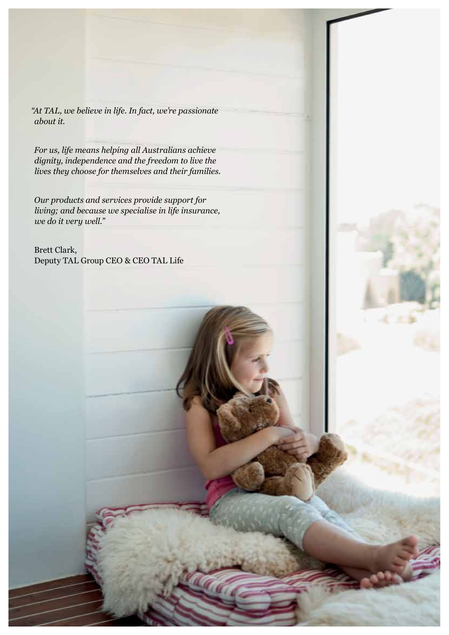*"At TAL, we believe in life. In fact, we're passionate about it.* 

*For us, life means helping all Australians achieve dignity, independence and the freedom to live the lives they choose for themselves and their families.* 

*Our products and services provide support for living; and because we specialise in life insurance, we do it very well."* 

Brett Clark, Deputy TAL Group CEO & CEO TAL Life

**2 Accelerated Protection** Product Disclosure Statement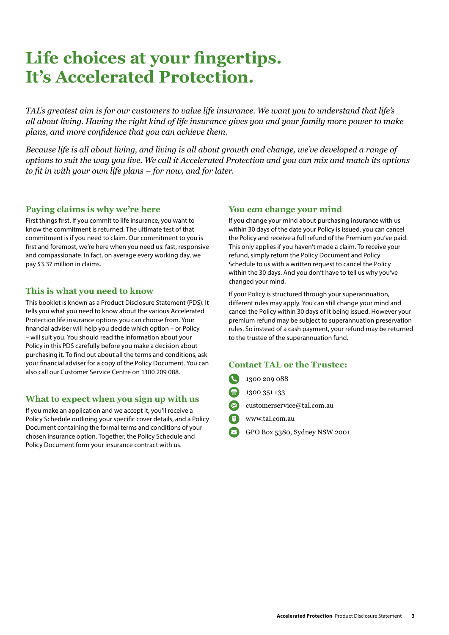# **Life choices at your fingertips. It's Accelerated Protection.**

*TAL's greatest aim is for our customers to value life insurance. We want you to understand that life's all about living. Having the right kind of life insurance gives you and your family more power to make plans, and more confidence that you can achieve them.* 

*Because life is all about living, and living is all about growth and change, we've developed a range of options to suit the way you live. We call it Accelerated Protection and you can mix and match its options to fit in with your own life plans – for now, and for later.* 

## **Paying claims is why we're here**

First things first. If you commit to life insurance, you want to know the commitment is returned. The ultimate test of that commitment is if you need to claim. Our commitment to you is first and foremost, we're here when you need us: fast, responsive and compassionate. In fact, on average every working day, we pay \$3.37 million in claims.

## **This is what you need to know**

This booklet is known as a Product Disclosure Statement (PDS). It tells you what you need to know about the various Accelerated Protection life insurance options you can choose from. Your financial adviser will help you decide which option – or Policy – will suit you. You should read the information about your Policy in this PDS carefully before you make a decision about purchasing it. To find out about all the terms and conditions, ask your financial adviser for a copy of the Policy Document. You can also call our Customer Service Centre on 1300 209 088.

## **What to expect when you sign up with us**

If you make an application and we accept it, you'll receive a Policy Schedule outlining your specific cover details, and a Policy Document containing the formal terms and conditions of your chosen insurance option. Together, the Policy Schedule and Policy Document form your insurance contract with us.

## **You** *can* **change your mind**

If you change your mind about purchasing insurance with us within 30 days of the date your Policy is issued, you can cancel the Policy and receive a full refund of the Premium you've paid. This only applies if you haven't made a claim. To receive your refund, simply return the Policy Document and Policy Schedule to us with a written request to cancel the Policy within the 30 days. And you don't have to tell us why you've changed your mind.

If your Policy is structured through your superannuation, different rules may apply. You can still change your mind and cancel the Policy within 30 days of it being issued. However your premium refund may be subject to superannuation preservation rules. So instead of a cash payment, your refund may be returned to the trustee of the superannuation fund.

## **Contact TAL or the Trustee:**

- 1300 209 088
- 1300 351 133
- customerservice@tal.com.au
- www.tal.com.au
- GPO Box 5380, Sydney NSW 2001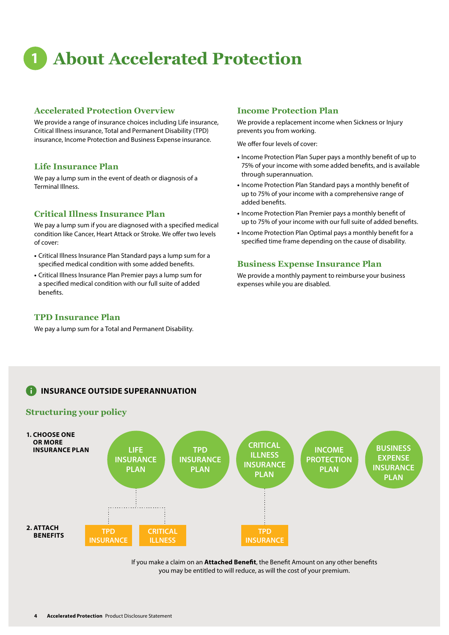# **1 About Accelerated Protection**

## **Accelerated Protection Overview**

We provide a range of insurance choices including Life insurance, Critical Illness insurance, Total and Permanent Disability (TPD) insurance, Income Protection and Business Expense insurance.

#### **Life Insurance Plan**

We pay a lump sum in the event of death or diagnosis of a Terminal Illness.

## **Critical Illness Insurance Plan**

We pay a lump sum if you are diagnosed with a specified medical condition like Cancer, Heart Attack or Stroke. We offer two levels of cover:

- **•** Critical Illness Insurance Plan Standard pays a lump sum for a specified medical condition with some added benefits.
- **•** Critical Illness Insurance Plan Premier pays a lump sum for a specified medical condition with our full suite of added benefits.

#### **TPD Insurance Plan**

We pay a lump sum for a Total and Permanent Disability.

#### **Income Protection Plan**

We provide a replacement income when Sickness or Injury prevents you from working.

We offer four levels of cover:

- **•** Income Protection Plan Super pays a monthly benefit of up to 75% of your income with some added benefits, and is available through superannuation.
- **•** Income Protection Plan Standard pays a monthly benefit of up to 75% of your income with a comprehensive range of added benefits.
- **•** Income Protection Plan Premier pays a monthly benefit of up to 75% of your income with our full suite of added benefits.
- **•** Income Protection Plan Optimal pays a monthly benefit for a specified time frame depending on the cause of disability.

#### **Business Expense Insurance Plan**

We provide a monthly payment to reimburse your business expenses while you are disabled.

## **INSURANCE OUTSIDE SUPERANNUATION**

### **Structuring your policy**



If you make a claim on an **Attached Benefit**, the Benefit Amount on any other benefits you may be entitled to will reduce, as will the cost of your premium.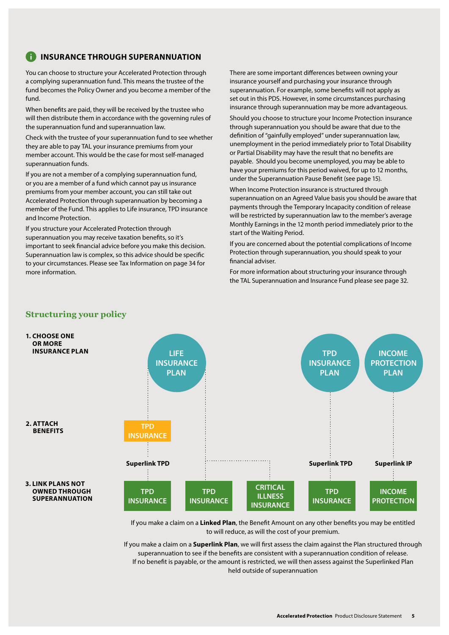## **INSURANCE THROUGH SUPERANNUATION**

You can choose to structure your Accelerated Protection through a complying superannuation fund. This means the trustee of the fund becomes the Policy Owner and you become a member of the fund.

When benefits are paid, they will be received by the trustee who will then distribute them in accordance with the governing rules of the superannuation fund and superannuation law.

Check with the trustee of your superannuation fund to see whether they are able to pay TAL your insurance premiums from your member account. This would be the case for most self-managed superannuation funds.

If you are not a member of a complying superannuation fund, or you are a member of a fund which cannot pay us insurance premiums from your member account, you can still take out Accelerated Protection through superannuation by becoming a member of the Fund. This applies to Life insurance, TPD insurance and Income Protection.

If you structure your Accelerated Protection through superannuation you may receive taxation benefits, so it's important to seek financial advice before you make this decision. Superannuation law is complex, so this advice should be specific to your circumstances. Please see Tax Information on page 34 for more information.

There are some important differences between owning your insurance yourself and purchasing your insurance through superannuation. For example, some benefits will not apply as set out in this PDS. However, in some circumstances purchasing insurance through superannuation may be more advantageous.

Should you choose to structure your Income Protection insurance through superannuation you should be aware that due to the definition of "gainfully employed" under superannuation law, unemployment in the period immediately prior to Total Disability or Partial Disability may have the result that no benefits are payable. Should you become unemployed, you may be able to have your premiums for this period waived, for up to 12 months, under the Superannuation Pause Benefit (see page 15).

When Income Protection insurance is structured through superannuation on an Agreed Value basis you should be aware that payments through the Temporary Incapacity condition of release will be restricted by superannuation law to the member's average Monthly Earnings in the 12 month period immediately prior to the start of the Waiting Period.

If you are concerned about the potential complications of Income Protection through superannuation, you should speak to your financial adviser.

For more information about structuring your insurance through the TAL Superannuation and Insurance Fund please see page 32.



If you make a claim on a **Linked Plan**, the Benefit Amount on any other benefits you may be entitled to will reduce, as will the cost of your premium.

If you make a claim on a **Superlink Plan**, we will first assess the claim against the Plan structured through superannuation to see if the benefits are consistent with a superannuation condition of release. If no benefit is payable, or the amount is restricted, we will then assess against the Superlinked Plan held outside of superannuation

## **Structuring your policy**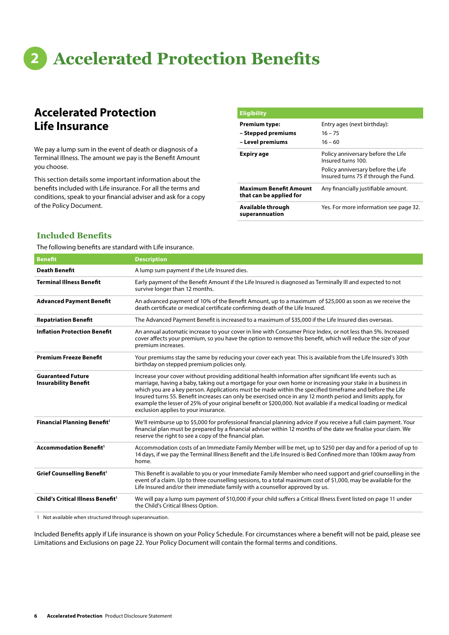# **2 Accelerated Protection Benefits**

## **Accelerated Protection Life Insurance**

We pay a lump sum in the event of death or diagnosis of a Terminal Illness. The amount we pay is the Benefit Amount you choose.

This section details some important information about the benefits included with Life insurance. For all the terms and conditions, speak to your financial adviser and ask for a copy of the Policy Document.

| <b>Eligibility</b>                                       |                                                                             |
|----------------------------------------------------------|-----------------------------------------------------------------------------|
| <b>Premium type:</b>                                     | Entry ages (next birthday):                                                 |
| – Stepped premiums                                       | $16 - 75$                                                                   |
| – Level premiums                                         | $16 - 60$                                                                   |
| Expiry age                                               | Policy anniversary before the Life<br>Insured turns 100.                    |
|                                                          | Policy anniversary before the Life<br>Insured turns 75 if through the Fund. |
| <b>Maximum Benefit Amount</b><br>that can be applied for | Any financially justifiable amount.                                         |
| Available through<br>superannuation                      | Yes. For more information see page 32.                                      |

## **Included Benefits**

The following benefits are standard with Life insurance.

| <b>Benefit</b>                                          | <b>Description</b>                                                                                                                                                                                                                                                                                                                                                                                                                                                                                                                                                                                           |
|---------------------------------------------------------|--------------------------------------------------------------------------------------------------------------------------------------------------------------------------------------------------------------------------------------------------------------------------------------------------------------------------------------------------------------------------------------------------------------------------------------------------------------------------------------------------------------------------------------------------------------------------------------------------------------|
| <b>Death Benefit</b>                                    | A lump sum payment if the Life Insured dies.                                                                                                                                                                                                                                                                                                                                                                                                                                                                                                                                                                 |
| <b>Terminal Illness Benefit</b>                         | Early payment of the Benefit Amount if the Life Insured is diagnosed as Terminally III and expected to not<br>survive longer than 12 months.                                                                                                                                                                                                                                                                                                                                                                                                                                                                 |
| <b>Advanced Payment Benefit</b>                         | An advanced payment of 10% of the Benefit Amount, up to a maximum of \$25,000 as soon as we receive the<br>death certificate or medical certificate confirming death of the Life Insured.                                                                                                                                                                                                                                                                                                                                                                                                                    |
| <b>Repatriation Benefit</b>                             | The Advanced Payment Benefit is increased to a maximum of \$35,000 if the Life Insured dies overseas.                                                                                                                                                                                                                                                                                                                                                                                                                                                                                                        |
| <b>Inflation Protection Benefit</b>                     | An annual automatic increase to your cover in line with Consumer Price Index, or not less than 5%. Increased<br>cover affects your premium, so you have the option to remove this benefit, which will reduce the size of your<br>premium increases.                                                                                                                                                                                                                                                                                                                                                          |
| <b>Premium Freeze Benefit</b>                           | Your premiums stay the same by reducing your cover each year. This is available from the Life Insured's 30th<br>birthday on stepped premium policies only.                                                                                                                                                                                                                                                                                                                                                                                                                                                   |
| <b>Guaranteed Future</b><br><b>Insurability Benefit</b> | Increase your cover without providing additional health information after significant life events such as<br>marriage, having a baby, taking out a mortgage for your own home or increasing your stake in a business in<br>which you are a key person. Applications must be made within the specified timeframe and before the Life<br>Insured turns 55. Benefit increases can only be exercised once in any 12 month period and limits apply, for<br>example the lesser of 25% of your original benefit or \$200,000. Not available if a medical loading or medical<br>exclusion applies to your insurance. |
| <b>Financial Planning Benefit1</b>                      | We'll reimburse up to \$5,000 for professional financial planning advice if you receive a full claim payment. Your<br>financial plan must be prepared by a financial adviser within 12 months of the date we finalise your claim. We<br>reserve the right to see a copy of the financial plan.                                                                                                                                                                                                                                                                                                               |
| <b>Accommodation Benefit1</b>                           | Accommodation costs of an Immediate Family Member will be met, up to \$250 per day and for a period of up to<br>14 days, if we pay the Terminal Illness Benefit and the Life Insured is Bed Confined more than 100km away from<br>home.                                                                                                                                                                                                                                                                                                                                                                      |
| <b>Grief Counselling Benefit1</b>                       | This Benefit is available to you or your Immediate Family Member who need support and grief counselling in the<br>event of a claim. Up to three counselling sessions, to a total maximum cost of \$1,000, may be available for the<br>Life Insured and/or their immediate family with a counsellor approved by us.                                                                                                                                                                                                                                                                                           |
| <b>Child's Critical Illness Benefit1</b>                | We will pay a lump sum payment of \$10,000 if your child suffers a Critical Illness Event listed on page 11 under<br>the Child's Critical Illness Option.                                                                                                                                                                                                                                                                                                                                                                                                                                                    |

1 Not available when structured through superannuation.

Included Benefits apply if Life insurance is shown on your Policy Schedule. For circumstances where a benefit will not be paid, please see Limitations and Exclusions on page 22. Your Policy Document will contain the formal terms and conditions.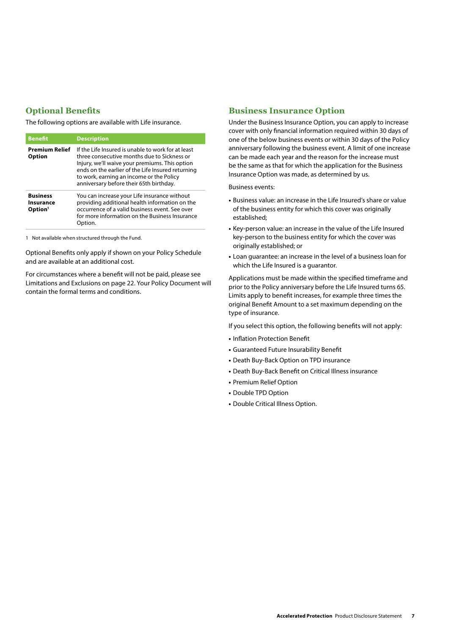## **Optional Benefits**

The following options are available with Life insurance.

| <b>Benefit</b>                                      | <b>Description</b>                                                                                                                                                                                                                                                                              |
|-----------------------------------------------------|-------------------------------------------------------------------------------------------------------------------------------------------------------------------------------------------------------------------------------------------------------------------------------------------------|
| <b>Premium Relief</b><br><b>Option</b>              | If the Life Insured is unable to work for at least<br>three consecutive months due to Sickness or<br>Injury, we'll waive your premiums. This option<br>ends on the earlier of the Life Insured returning<br>to work, earning an income or the Policy<br>anniversary before their 65th birthday. |
| <b>Business</b><br>Insurance<br>Option <sup>1</sup> | You can increase your Life insurance without<br>providing additional health information on the<br>occurrence of a valid business event. See over<br>for more information on the Business Insurance<br>Option.                                                                                   |

1 Not available when structured through the Fund.

Optional Benefits only apply if shown on your Policy Schedule and are available at an additional cost.

For circumstances where a benefit will not be paid, please see Limitations and Exclusions on page 22. Your Policy Document will contain the formal terms and conditions.

## **Business Insurance Option**

Under the Business Insurance Option, you can apply to increase cover with only financial information required within 30 days of one of the below business events or within 30 days of the Policy anniversary following the business event. A limit of one increase can be made each year and the reason for the increase must be the same as that for which the application for the Business Insurance Option was made, as determined by us.

Business events:

- **•** Business value: an increase in the Life Insured's share or value of the business entity for which this cover was originally established;
- **•** Key-person value: an increase in the value of the Life Insured key-person to the business entity for which the cover was originally established; or
- **•** Loan guarantee: an increase in the level of a business loan for which the Life Insured is a guarantor.

Applications must be made within the specified timeframe and prior to the Policy anniversary before the Life Insured turns 65. Limits apply to benefit increases, for example three times the original Benefit Amount to a set maximum depending on the type of insurance.

If you select this option, the following benefits will not apply:

- **•** Inflation Protection Benefit
- **•** Guaranteed Future Insurability Benefit
- **•** Death Buy-Back Option on TPD insurance
- **•** Death Buy-Back Benefit on Critical Illness insurance
- **•** Premium Relief Option
- **•** Double TPD Option
- **•** Double Critical Illness Option.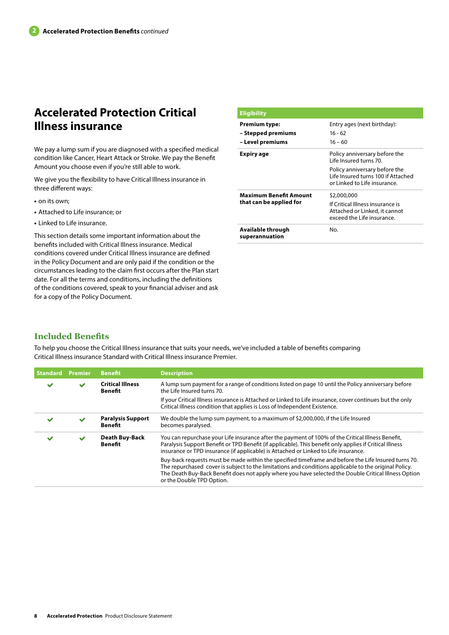## **Accelerated Protection Critical Illness insurance**

We pay a lump sum if you are diagnosed with a specified medical condition like Cancer, Heart Attack or Stroke. We pay the Benefit Amount you choose even if you're still able to work.

We give you the flexibility to have Critical Illness insurance in three different ways:

- **•** on its own;
- **•** Attached to Life insurance; or
- **•** Linked to Life insurance.

This section details some important information about the benefits included with Critical Illness insurance. Medical conditions covered under Critical Illness insurance are defined in the Policy Document and are only paid if the condition or the circumstances leading to the claim first occurs after the Plan start date. For all the terms and conditions, including the definitions of the conditions covered, speak to your financial adviser and ask for a copy of the Policy Document.

| <b>Eligibility</b>                  |                                                                                                     |
|-------------------------------------|-----------------------------------------------------------------------------------------------------|
| <b>Premium type:</b>                | Entry ages (next birthday):                                                                         |
| - Stepped premiums                  | $16 - 62$                                                                                           |
| - Level premiums                    | $16 - 60$                                                                                           |
| Expiry age                          | Policy anniversary before the<br>I ife Insured turns 70.                                            |
|                                     | Policy anniversary before the<br>Life Insured turns 100 if Attached<br>or Linked to Life insurance. |
| <b>Maximum Benefit Amount</b>       | \$2,000,000                                                                                         |
| that can be applied for             | If Critical Illness insurance is<br>Attached or Linked, it cannot<br>exceed the Life insurance.     |
| Available through<br>superannuation | No.                                                                                                 |

## **Included Benefits**

To help you choose the Critical Illness insurance that suits your needs, we've included a table of benefits comparing Critical Illness insurance Standard with Critical Illness insurance Premier.

| <b>Standard</b> | <b>Premier</b> | <b>Benefit</b>                          | <b>Description</b>                                                                                                                                                                                                                                                                                                                                |
|-----------------|----------------|-----------------------------------------|---------------------------------------------------------------------------------------------------------------------------------------------------------------------------------------------------------------------------------------------------------------------------------------------------------------------------------------------------|
| $\checkmark$    | $\checkmark$   | <b>Critical Illness</b><br>Benefit      | A lump sum payment for a range of conditions listed on page 10 until the Policy anniversary before<br>the Life Insured turns 70.                                                                                                                                                                                                                  |
|                 |                |                                         | If your Critical Illness insurance is Attached or Linked to Life insurance, cover continues but the only<br>Critical Illness condition that applies is Loss of Independent Existence.                                                                                                                                                             |
|                 | $\checkmark$   | <b>Paralysis Support</b><br>Benefit     | We double the lump sum payment, to a maximum of \$2,000,000, if the Life Insured<br>becomes paralysed.                                                                                                                                                                                                                                            |
| ັ               | $\checkmark$   | <b>Death Buy-Back</b><br><b>Benefit</b> | You can repurchase your Life insurance after the payment of 100% of the Critical Illness Benefit,<br>Paralysis Support Benefit or TPD Benefit (if applicable). This benefit only applies if Critical Illness<br>insurance or TPD insurance (if applicable) is Attached or Linked to Life insurance.                                               |
|                 |                |                                         | Buy-back requests must be made within the specified timeframe and before the Life Insured turns 70.<br>The repurchased cover is subject to the limitations and conditions applicable to the original Policy.<br>The Death Buy-Back Benefit does not apply where you have selected the Double Critical Illness Option<br>or the Double TPD Option. |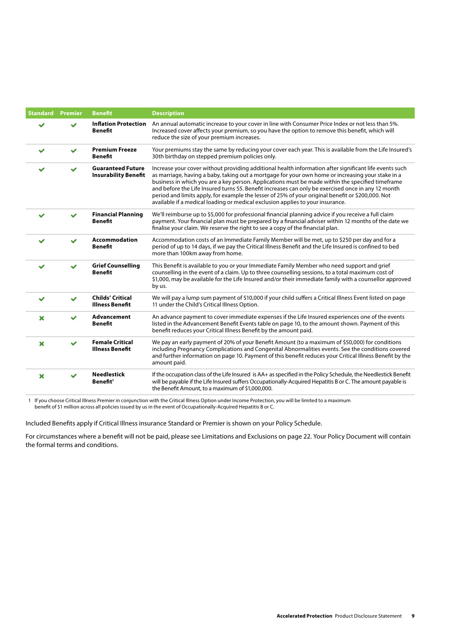| <b>Standard</b>           | <b>Premier</b> | <b>Benefit</b>                                          | <b>Description</b>                                                                                                                                                                                                                                                                                                                                                                                                                                                                                                                                                                                           |
|---------------------------|----------------|---------------------------------------------------------|--------------------------------------------------------------------------------------------------------------------------------------------------------------------------------------------------------------------------------------------------------------------------------------------------------------------------------------------------------------------------------------------------------------------------------------------------------------------------------------------------------------------------------------------------------------------------------------------------------------|
|                           | $\checkmark$   | <b>Inflation Protection</b><br><b>Benefit</b>           | An annual automatic increase to your cover in line with Consumer Price Index or not less than 5%.<br>Increased cover affects your premium, so you have the option to remove this benefit, which will<br>reduce the size of your premium increases.                                                                                                                                                                                                                                                                                                                                                           |
| $\checkmark$              | $\checkmark$   | <b>Premium Freeze</b><br><b>Benefit</b>                 | Your premiums stay the same by reducing your cover each year. This is available from the Life Insured's<br>30th birthday on stepped premium policies only.                                                                                                                                                                                                                                                                                                                                                                                                                                                   |
|                           |                | <b>Guaranteed Future</b><br><b>Insurability Benefit</b> | Increase your cover without providing additional health information after significant life events such<br>as marriage, having a baby, taking out a mortgage for your own home or increasing your stake in a<br>business in which you are a key person. Applications must be made within the specified timeframe<br>and before the Life Insured turns 55. Benefit increases can only be exercised once in any 12 month<br>period and limits apply, for example the lesser of 25% of your original benefit or \$200,000. Not<br>available if a medical loading or medical exclusion applies to your insurance. |
| ✔                         |                | <b>Financial Planning</b><br><b>Benefit</b>             | We'll reimburse up to \$5,000 for professional financial planning advice if you receive a full claim<br>payment. Your financial plan must be prepared by a financial adviser within 12 months of the date we<br>finalise your claim. We reserve the right to see a copy of the financial plan.                                                                                                                                                                                                                                                                                                               |
| ✓                         |                | <b>Accommodation</b><br><b>Benefit</b>                  | Accommodation costs of an Immediate Family Member will be met, up to \$250 per day and for a<br>period of up to 14 days, if we pay the Critical Illness Benefit and the Life Insured is confined to bed<br>more than 100km away from home.                                                                                                                                                                                                                                                                                                                                                                   |
|                           |                | <b>Grief Counselling</b><br><b>Benefit</b>              | This Benefit is available to you or your Immediate Family Member who need support and grief<br>counselling in the event of a claim. Up to three counselling sessions, to a total maximum cost of<br>\$1,000, may be available for the Life Insured and/or their immediate family with a counsellor approved<br>by us.                                                                                                                                                                                                                                                                                        |
| ✔                         |                | <b>Childs' Critical</b><br><b>Illness Benefit</b>       | We will pay a lump sum payment of \$10,000 if your child suffers a Critical Illness Event listed on page<br>11 under the Child's Critical Illness Option.                                                                                                                                                                                                                                                                                                                                                                                                                                                    |
| $\boldsymbol{\mathsf{x}}$ |                | <b>Advancement</b><br><b>Benefit</b>                    | An advance payment to cover immediate expenses if the Life Insured experiences one of the events<br>listed in the Advancement Benefit Events table on page 10, to the amount shown. Payment of this<br>benefit reduces your Critical Illness Benefit by the amount paid.                                                                                                                                                                                                                                                                                                                                     |
| $\boldsymbol{\mathsf{x}}$ | $\checkmark$   | <b>Female Critical</b><br><b>Illness Benefit</b>        | We pay an early payment of 20% of your Benefit Amount (to a maximum of \$50,000) for conditions<br>including Pregnancy Complications and Congenital Abnormalities events. See the conditions covered<br>and further information on page 10. Payment of this benefit reduces your Critical Illness Benefit by the<br>amount paid.                                                                                                                                                                                                                                                                             |
| $\boldsymbol{\mathsf{x}}$ | $\checkmark$   | <b>Needlestick</b><br>Benefit <sup>1</sup>              | If the occupation class of the Life Insured is AA+ as specified in the Policy Schedule, the Needlestick Benefit<br>will be payable if the Life Insured suffers Occupationally-Acquired Hepatitis B or C. The amount payable is<br>the Benefit Amount, to a maximum of \$1,000,000.                                                                                                                                                                                                                                                                                                                           |

1 If you choose Critical Illness Premier in conjunction with the Critical Illness Option under Income Protection, you will be limited to a maximum benefit of \$1 million across all policies issued by us in the event of Occupationally-Acquired Hepatitis B or C.

Included Benefits apply if Critical Illness insurance Standard or Premier is shown on your Policy Schedule.

For circumstances where a benefit will not be paid, please see Limitations and Exclusions on page 22. Your Policy Document will contain the formal terms and conditions.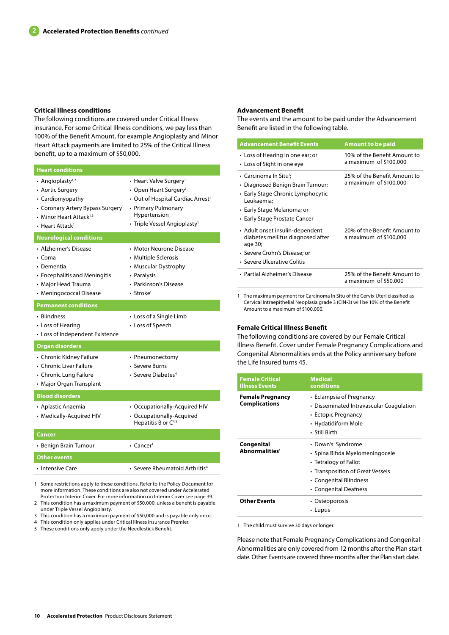#### **Critical Illness conditions**

The following conditions are covered under Critical Illness insurance. For some Critical Illness conditions, we pay less than 100% of the Benefit Amount, for example Angioplasty and Minor Heart Attack payments are limited to 25% of the Critical Illness benefit, up to a maximum of \$50,000.

| <b>Heart conditions</b>                                                                                                                                                                     |                                                                                                                                                                                                             |
|---------------------------------------------------------------------------------------------------------------------------------------------------------------------------------------------|-------------------------------------------------------------------------------------------------------------------------------------------------------------------------------------------------------------|
| • Angioplasty <sup>1,2</sup><br>• Aortic Surgery<br>• Cardiomyopathy<br>• Coronary Artery Bypass Surgery <sup>1</sup><br>• Minor Heart Attack <sup>1,3</sup><br>• Heart Attack <sup>1</sup> | • Heart Valve Surgery <sup>1</sup><br>• Open Heart Surgery <sup>1</sup><br>• Out of Hospital Cardiac Arrest <sup>1</sup><br>• Primary Pulmonary<br>Hypertension<br>• Triple Vessel Angioplasty <sup>1</sup> |
| <b>Neurological conditions</b>                                                                                                                                                              |                                                                                                                                                                                                             |
| • Alzheimer's Disease<br>$\cdot$ Coma<br>• Dementia<br>• Encephalitis and Meningitis<br>• Major Head Trauma<br>• Meningococcal Disease                                                      | • Motor Neurone Disease<br>• Multiple Sclerosis<br>• Muscular Dystrophy<br>• Paralysis<br>• Parkinson's Disease<br>• Stroke <sup>1</sup>                                                                    |
| <b>Permanent conditions</b>                                                                                                                                                                 |                                                                                                                                                                                                             |
| • Blindness<br>• Loss of Hearing<br>• Loss of Independent Existence                                                                                                                         | • Loss of a Single Limb<br>• Loss of Speech                                                                                                                                                                 |
| <b>Organ disorders</b>                                                                                                                                                                      |                                                                                                                                                                                                             |
| • Chronic Kidney Failure<br>• Chronic Liver Failure<br>• Chronic Lung Failure<br>• Major Organ Transplant                                                                                   | • Pneumonectomy<br>• Severe Burns<br>• Severe Diabetes <sup>4</sup>                                                                                                                                         |
| <b>Blood disorders</b>                                                                                                                                                                      |                                                                                                                                                                                                             |
| • Aplastic Anaemia<br>• Medically-Acquired HIV                                                                                                                                              | • Occupationally-Acquired HIV<br>• Occupationally-Acquired<br>Hepatitis B or C <sup>4,5</sup>                                                                                                               |
| Cancer                                                                                                                                                                                      |                                                                                                                                                                                                             |
| • Benign Brain Tumour                                                                                                                                                                       | $\cdot$ Cancer <sup>1</sup>                                                                                                                                                                                 |
| Other events                                                                                                                                                                                |                                                                                                                                                                                                             |
| • Intensive Care                                                                                                                                                                            | • Severe Rheumatoid Arthritis <sup>4</sup>                                                                                                                                                                  |

1 Some restrictions apply to these conditions. Refer to the Policy Document for more information. These conditions are also not covered under Accelerated Protection Interim Cover. For more information on Interim Cover see page 39.

2 This condition has a maximum payment of \$50,000, unless a benefit is payable under Triple Vessel Angioplasty.

3 This condition has a maximum payment of \$50,000 and is payable only once.

4 This condition only applies under Critical Illness insurance Premier.

5 These conditions only apply under the Needlestick Benefit.

#### **Advancement Benefit**

The events and the amount to be paid under the Advancement Benefit are listed in the following table.

| <b>Advancement Benefit Events</b>                                                                                                                                                              | <b>Amount to be paid</b>                               |
|------------------------------------------------------------------------------------------------------------------------------------------------------------------------------------------------|--------------------------------------------------------|
| • Loss of Hearing in one ear; or<br>• Loss of Sight in one eye                                                                                                                                 | 10% of the Benefit Amount to<br>a maximum of \$100,000 |
| $\cdot$ Carcinoma In Situ <sup>1</sup> :<br>• Diagnosed Benign Brain Tumour;<br>• Early Stage Chronic Lymphocytic<br>Leukaemia;<br>• Early Stage Melanoma; or<br>• Early Stage Prostate Cancer | 25% of the Benefit Amount to<br>a maximum of \$100,000 |
| • Adult onset insulin-dependent<br>diabetes mellitus diagnosed after<br>age 30;<br>• Severe Crohn's Disease; or<br>• Severe Ulcerative Colitis                                                 | 20% of the Benefit Amount to<br>a maximum of \$100,000 |
| • Partial Alzheimer's Disease                                                                                                                                                                  | 25% of the Benefit Amount to<br>a maximum of \$50,000  |

1 The maximum payment for Carcinoma In Situ of the Cervix Uteri classified as Cervical Intraepithelial Neoplasia grade 3 (CIN-3) will be 10% of the Benefit Amount to a maximum of \$100,000.

#### **Female Critical Illness Benefit**

The following conditions are covered by our Female Critical Illness Benefit. Cover under Female Pregnancy Complications and Congenital Abnormalities ends at the Policy anniversary before the Life Insured turns 45.

| <b>Female Critical</b><br><b>Illness Events</b> | <b>Medical</b><br>conditions                                                                                                                                         |
|-------------------------------------------------|----------------------------------------------------------------------------------------------------------------------------------------------------------------------|
| <b>Female Pregnancy</b><br><b>Complications</b> | • Eclampsia of Pregnancy<br>• Disseminated Intravascular Coagulation<br>• Ectopic Pregnancy<br>• Hydatidiform Mole<br>• Still Birth                                  |
| Congenital<br>Abnormalities <sup>1</sup>        | • Down's Syndrome<br>• Spina Bifida Myelomeningocele<br>• Tetralogy of Fallot<br>• Transposition of Great Vessels<br>• Congenital Blindness<br>• Congenital Deafness |
| <b>Other Events</b>                             | • Osteoporosis<br>• Lupus                                                                                                                                            |

1 The child must survive 30 days or longer.

Please note that Female Pregnancy Complications and Congenital Abnormalities are only covered from 12 months after the Plan start date. Other Events are covered three months after the Plan start date.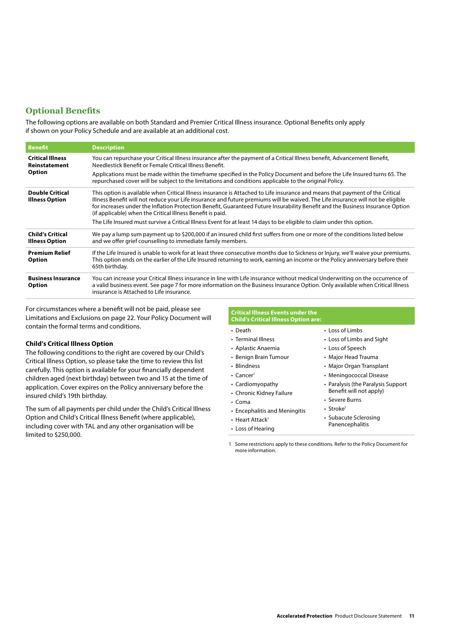## **Optional Benefits**

The following options are available on both Standard and Premier Critical Illness insurance. Optional Benefits only apply if shown on your Policy Schedule and are available at an additional cost.

| <b>Benefit</b>                                   | <b>Description</b>                                                                                                                                                                                                                                                                                                                                                                                                                                               |
|--------------------------------------------------|------------------------------------------------------------------------------------------------------------------------------------------------------------------------------------------------------------------------------------------------------------------------------------------------------------------------------------------------------------------------------------------------------------------------------------------------------------------|
| <b>Critical Illness</b><br>Reinstatement         | You can repurchase your Critical Illness insurance after the payment of a Critical Illness benefit, Advancement Benefit,<br>Needlestick Benefit or Female Critical Illness Benefit.                                                                                                                                                                                                                                                                              |
| <b>Option</b>                                    | Applications must be made within the timeframe specified in the Policy Document and before the Life Insured turns 65. The<br>repurchased cover will be subject to the limitations and conditions applicable to the original Policy.                                                                                                                                                                                                                              |
| <b>Double Critical</b><br><b>Illness Option</b>  | This option is available when Critical Illness insurance is Attached to Life insurance and means that payment of the Critical<br>Illness Benefit will not reduce your Life insurance and future premiums will be waived. The Life insurance will not be eligible<br>for increases under the Inflation Protection Benefit, Guaranteed Future Insurability Benefit and the Business Insurance Option<br>(if applicable) when the Critical Illness Benefit is paid. |
|                                                  | The Life Insured must survive a Critical Illness Event for at least 14 days to be eligible to claim under this option.                                                                                                                                                                                                                                                                                                                                           |
| <b>Child's Critical</b><br><b>Illness Option</b> | We pay a lump sum payment up to \$200,000 if an insured child first suffers from one or more of the conditions listed below<br>and we offer grief counselling to immediate family members.                                                                                                                                                                                                                                                                       |
| <b>Premium Relief</b><br>Option                  | If the Life Insured is unable to work for at least three consecutive months due to Sickness or Injury, we'll waive your premiums.<br>This option ends on the earlier of the Life Insured returning to work, earning an income or the Policy anniversary before their<br>65th birthday.                                                                                                                                                                           |
| <b>Business Insurance</b><br><b>Option</b>       | You can increase your Critical Illness insurance in line with Life insurance without medical Underwriting on the occurrence of<br>a valid business event. See page 7 for more information on the Business Insurance Option. Only available when Critical Illness<br>insurance is Attached to Life insurance.                                                                                                                                                     |

For circumstances where a benefit will not be paid, please see Limitations and Exclusions on page 22. Your Policy Document will contain the formal terms and conditions.

#### **Child's Critical Illness Option**

The following conditions to the right are covered by our Child's Critical Illness Option, so please take the time to review this list carefully. This option is available for your financially dependent children aged (next birthday) between two and 15 at the time of application. Cover expires on the Policy anniversary before the insured child's 19th birthday.

The sum of all payments per child under the Child's Critical Illness Option and Child's Critical Illness Benefit (where applicable), including cover with TAL and any other organisation will be limited to \$250,000.

#### **Critical Illness Events under the Child's Critical Illness Option are:**

| • Death                       | $\cdot$ Loss of Limbs              |
|-------------------------------|------------------------------------|
| • Terminal Illness            | • Loss of Limbs and Sight          |
| • Aplastic Anaemia            | • Loss of Speech                   |
| • Benign Brain Tumour         | • Major Head Trauma                |
| • Blindness                   | • Major Organ Transplant           |
| $\cdot$ Cancer <sup>1</sup>   | • Meningococcal Disease            |
| • Cardiomyopathy              | • Paralysis (the Paralysis Support |
| • Chronic Kidney Failure      | Benefit will not apply)            |
| $\cdot$ Coma                  | • Severe Burns                     |
| • Encephalitis and Meningitis | • Stroke <sup>1</sup>              |
| • Heart Attack <sup>1</sup>   | • Subacute Sclerosing              |
| • Loss of Hearing             | Panencephalitis                    |

1 Some restrictions apply to these conditions. Refer to the Policy Document for more information.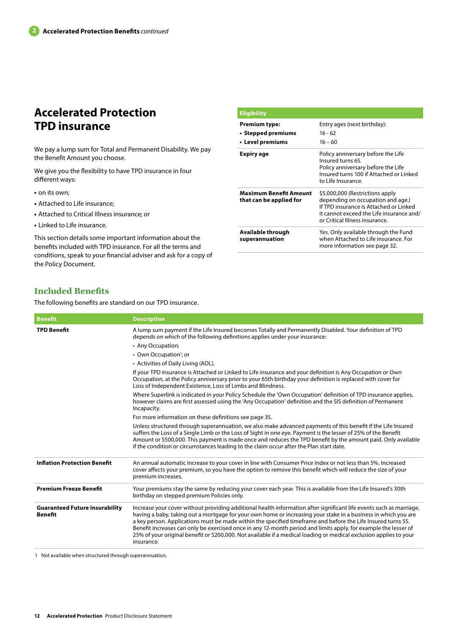## **Accelerated Protection TPD insurance**

We pay a lump sum for Total and Permanent Disability. We pay the Benefit Amount you choose. We give you the flexibility to have TPD insurance in four **• Level premiums**

**•** on its own;

different ways:

- **•** Attached to Life insurance;
- **•** Attached to Critical Illness insurance; or
- **•** Linked to Life insurance.

This section details some important information about the benefits included with TPD insurance. For all the terms and conditions, speak to your financial adviser and ask for a copy of the Policy Document.

#### **Eligibility Premium type: • Stepped premiums** Entry ages (next birthday): 16 - 62  $16 - 60$ **Expiry age** Policy anniversary before the Life Insured turns 65. Policy anniversary before the Life Insured turns 100 if Attached or Linked to Life Insurance. **Maximum Benefit Amount that can be applied for** \$5,000,000 (Restrictions apply depending on occupation and age.) If TPD insurance is Attached or Linked it cannot exceed the Life insurance and/ or Critical Illness insurance. **Available through superannuation** Yes. Only available through the Fund when Attached to Life insurance. For more information see page 32.

## **Included Benefits**

The following benefits are standard on our TPD insurance.

| <b>Benefit</b>                                          | <b>Description</b>                                                                                                                                                                                                                                                                                                                                                                                                                                                                                                                                                                                           |
|---------------------------------------------------------|--------------------------------------------------------------------------------------------------------------------------------------------------------------------------------------------------------------------------------------------------------------------------------------------------------------------------------------------------------------------------------------------------------------------------------------------------------------------------------------------------------------------------------------------------------------------------------------------------------------|
| <b>TPD Benefit</b>                                      | A lump sum payment if the Life Insured becomes Totally and Permanently Disabled. Your definition of TPD<br>depends on which of the following definitions applies under your insurance:                                                                                                                                                                                                                                                                                                                                                                                                                       |
|                                                         | • Any Occupation;                                                                                                                                                                                                                                                                                                                                                                                                                                                                                                                                                                                            |
|                                                         | • Own Occupation <sup>1</sup> ; or                                                                                                                                                                                                                                                                                                                                                                                                                                                                                                                                                                           |
|                                                         | • Activities of Daily Living (ADL).                                                                                                                                                                                                                                                                                                                                                                                                                                                                                                                                                                          |
|                                                         | If your TPD insurance is Attached or Linked to Life insurance and your definition is Any Occupation or Own<br>Occupation, at the Policy anniversary prior to your 65th birthday your definition is replaced with cover for<br>Loss of Independent Existence, Loss of Limbs and Blindness.                                                                                                                                                                                                                                                                                                                    |
|                                                         | Where Superlink is indicated in your Policy Schedule the 'Own Occupation' definition of TPD insurance applies,<br>however claims are first assessed using the 'Any Occupation' definition and the SIS definition of Permanent<br>Incapacity.                                                                                                                                                                                                                                                                                                                                                                 |
|                                                         | For more information on these definitions see page 35.                                                                                                                                                                                                                                                                                                                                                                                                                                                                                                                                                       |
|                                                         | Unless structured through superannuation, we also make advanced payments of this benefit if the Life Insured<br>suffers the Loss of a Single Limb or the Loss of Sight in one eye. Payment is the lesser of 25% of the Benefit<br>Amount or \$500,000. This payment is made once and reduces the TPD benefit by the amount paid. Only available<br>if the condition or circumstances leading to the claim occur after the Plan start date.                                                                                                                                                                   |
| <b>Inflation Protection Benefit</b>                     | An annual automatic increase to your cover in line with Consumer Price Index or not less than 5%. Increased<br>cover affects your premium, so you have the option to remove this benefit which will reduce the size of your<br>premium increases.                                                                                                                                                                                                                                                                                                                                                            |
| <b>Premium Freeze Benefit</b>                           | Your premiums stay the same by reducing your cover each year. This is available from the Life Insured's 30th<br>birthday on stepped premium Policies only.                                                                                                                                                                                                                                                                                                                                                                                                                                                   |
| <b>Guaranteed Future Insurability</b><br><b>Benefit</b> | Increase your cover without providing additional health information after significant life events such as marriage,<br>having a baby, taking out a mortgage for your own home or increasing your stake in a business in which you are<br>a key person. Applications must be made within the specified timeframe and before the Life Insured turns 55.<br>Benefit increases can only be exercised once in any 12-month period and limits apply, for example the lesser of<br>25% of your original benefit or \$200,000. Not available if a medical loading or medical exclusion applies to your<br>insurance. |

1 Not available when structured through superannuation.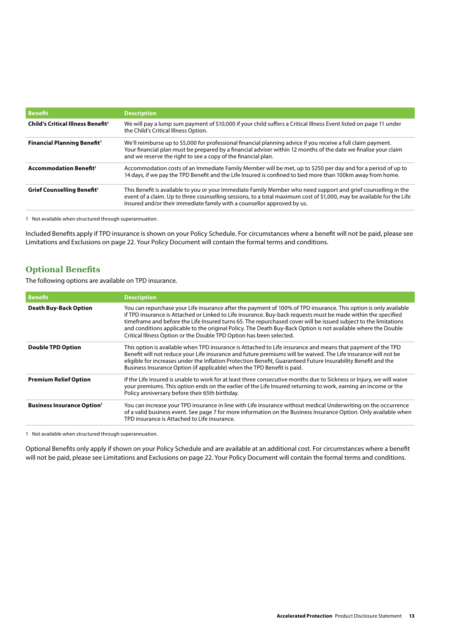| Benefit                                       | <b>Description</b>                                                                                                                                                                                                                                                                                                 |
|-----------------------------------------------|--------------------------------------------------------------------------------------------------------------------------------------------------------------------------------------------------------------------------------------------------------------------------------------------------------------------|
| Child's Critical Illness Benefit <sup>1</sup> | We will pay a lump sum payment of \$10,000 if your child suffers a Critical Illness Event listed on page 11 under<br>the Child's Critical Illness Option.                                                                                                                                                          |
| Financial Planning Benefit <sup>1</sup>       | We'll reimburse up to \$5,000 for professional financial planning advice if you receive a full claim payment.<br>Your financial plan must be prepared by a financial adviser within 12 months of the date we finalise your claim<br>and we reserve the right to see a copy of the financial plan.                  |
| <b>Accommodation Benefit1</b>                 | Accommodation costs of an Immediate Family Member will be met, up to \$250 per day and for a period of up to<br>14 days, if we pay the TPD Benefit and the Life Insured is confined to bed more than 100km away from home.                                                                                         |
| Grief Counselling Benefit <sup>1</sup>        | This Benefit is available to you or your Immediate Family Member who need support and grief counselling in the<br>event of a claim. Up to three counselling sessions, to a total maximum cost of \$1,000, may be available for the Life<br>Insured and/or their immediate family with a counsellor approved by us. |

1 Not available when structured through superannuation.

Included Benefits apply if TPD insurance is shown on your Policy Schedule. For circumstances where a benefit will not be paid, please see Limitations and Exclusions on page 22. Your Policy Document will contain the formal terms and conditions.

## **Optional Benefits**

The following options are available on TPD insurance.

| <b>Benefit</b>                                | <b>Description</b>                                                                                                                                                                                                                                                                                                                                                                                                                                                                                                                           |
|-----------------------------------------------|----------------------------------------------------------------------------------------------------------------------------------------------------------------------------------------------------------------------------------------------------------------------------------------------------------------------------------------------------------------------------------------------------------------------------------------------------------------------------------------------------------------------------------------------|
| <b>Death Buy-Back Option</b>                  | You can repurchase your Life insurance after the payment of 100% of TPD insurance. This option is only available<br>if TPD insurance is Attached or Linked to Life insurance. Buy-back requests must be made within the specified<br>timeframe and before the Life Insured turns 65. The repurchased cover will be issued subject to the limitations<br>and conditions applicable to the original Policy. The Death Buy-Back Option is not available where the Double<br>Critical Illness Option or the Double TPD Option has been selected. |
| <b>Double TPD Option</b>                      | This option is available when TPD insurance is Attached to Life insurance and means that payment of the TPD<br>Benefit will not reduce your Life insurance and future premiums will be waived. The Life insurance will not be<br>eligible for increases under the Inflation Protection Benefit, Guaranteed Future Insurability Benefit and the<br>Business Insurance Option (if applicable) when the TPD Benefit is paid.                                                                                                                    |
| <b>Premium Relief Option</b>                  | If the Life Insured is unable to work for at least three consecutive months due to Sickness or Injury, we will waive<br>your premiums. This option ends on the earlier of the Life Insured returning to work, earning an income or the<br>Policy anniversary before their 65th birthday.                                                                                                                                                                                                                                                     |
| <b>Business Insurance Option</b> <sup>1</sup> | You can increase your TPD insurance in line with Life insurance without medical Underwriting on the occurrence<br>of a valid business event. See page 7 for more information on the Business Insurance Option. Only available when<br>TPD insurance is Attached to Life insurance.                                                                                                                                                                                                                                                           |

1 Not available when structured through superannuation.

Optional Benefits only apply if shown on your Policy Schedule and are available at an additional cost. For circumstances where a benefit will not be paid, please see Limitations and Exclusions on page 22. Your Policy Document will contain the formal terms and conditions.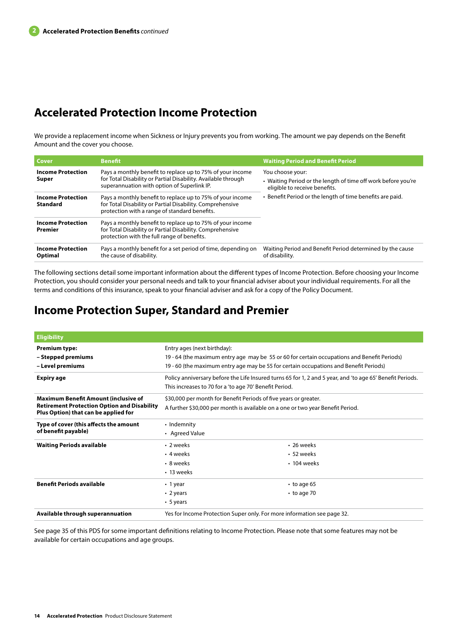## **Accelerated Protection Income Protection**

We provide a replacement income when Sickness or Injury prevents you from working. The amount we pay depends on the Benefit Amount and the cover you choose.

| Cover                                       | <b>Benefit</b>                                                                                                                                                             | <b>Waiting Period and Benefit Period</b>                                                                           |
|---------------------------------------------|----------------------------------------------------------------------------------------------------------------------------------------------------------------------------|--------------------------------------------------------------------------------------------------------------------|
| <b>Income Protection</b><br>Super           | Pays a monthly benefit to replace up to 75% of your income<br>for Total Disability or Partial Disability. Available through<br>superannuation with option of Superlink IP. | You choose your:<br>• Waiting Period or the length of time off work before you're<br>eligible to receive benefits. |
| <b>Income Protection</b><br><b>Standard</b> | Pays a monthly benefit to replace up to 75% of your income<br>for Total Disability or Partial Disability. Comprehensive<br>protection with a range of standard benefits.   | • Benefit Period or the length of time benefits are paid.                                                          |
| <b>Income Protection</b><br>Premier         | Pays a monthly benefit to replace up to 75% of your income<br>for Total Disability or Partial Disability. Comprehensive<br>protection with the full range of benefits.     |                                                                                                                    |
| <b>Income Protection</b><br>Optimal         | Pays a monthly benefit for a set period of time, depending on<br>the cause of disability.                                                                                  | Waiting Period and Benefit Period determined by the cause<br>of disability.                                        |

The following sections detail some important information about the different types of Income Protection. Before choosing your Income Protection, you should consider your personal needs and talk to your financial adviser about your individual requirements. For all the terms and conditions of this insurance, speak to your financial adviser and ask for a copy of the Policy Document.

## **Income Protection Super, Standard and Premier**

| <b>Eligibility</b>                                                                                                                        |                                                                                                                                                                                                                     |                                               |
|-------------------------------------------------------------------------------------------------------------------------------------------|---------------------------------------------------------------------------------------------------------------------------------------------------------------------------------------------------------------------|-----------------------------------------------|
| <b>Premium type:</b><br>– Stepped premiums<br>– Level premiums                                                                            | Entry ages (next birthday):<br>19 - 64 (the maximum entry age may be 55 or 60 for certain occupations and Benefit Periods)<br>19 - 60 (the maximum entry age may be 55 for certain occupations and Benefit Periods) |                                               |
| <b>Expiry age</b>                                                                                                                         | Policy anniversary before the Life Insured turns 65 for 1, 2 and 5 year, and 'to age 65' Benefit Periods.<br>This increases to 70 for a 'to age 70' Benefit Period.                                                 |                                               |
| <b>Maximum Benefit Amount (inclusive of</b><br><b>Retirement Protection Option and Disability</b><br>Plus Option) that can be applied for | \$30,000 per month for Benefit Periods of five years or greater.<br>A further \$30,000 per month is available on a one or two year Benefit Period.                                                                  |                                               |
| Type of cover (this affects the amount<br>of benefit payable)                                                                             | • Indemnity<br>• Agreed Value                                                                                                                                                                                       |                                               |
| <b>Waiting Periods available</b>                                                                                                          | • 2 weeks<br>• 4 weeks<br>• 8 weeks<br>• 13 weeks                                                                                                                                                                   | • 26 weeks<br>• 52 weeks<br>$\cdot$ 104 weeks |
| <b>Benefit Periods available</b>                                                                                                          | $\cdot$ 1 year<br>$\cdot$ 2 years<br>$\cdot$ 5 years                                                                                                                                                                | $\cdot$ to age 65<br>$\cdot$ to age 70        |
| Available through superannuation                                                                                                          | Yes for Income Protection Super only. For more information see page 32.                                                                                                                                             |                                               |

See page 35 of this PDS for some important definitions relating to Income Protection. Please note that some features may not be available for certain occupations and age groups.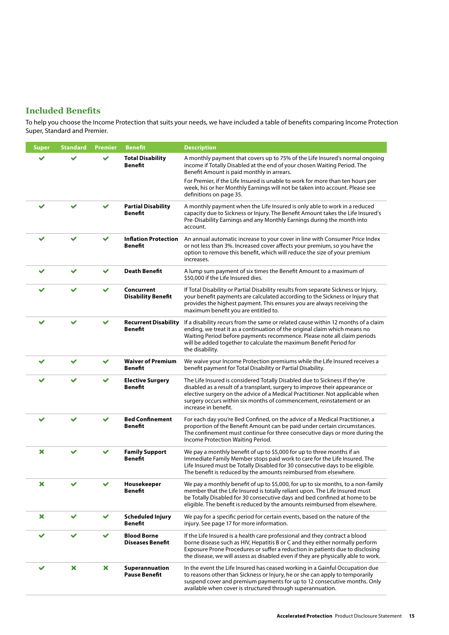## **Included Benefits**

To help you choose the Income Protection that suits your needs, we have included a table of benefits comparing Income Protection Super, Standard and Premier.

| <b>Super</b> | <b>Standard</b> | Premier      | Benefit                                       | <b>Description</b>                                                                                                                                                                                                                                                                                                                           |
|--------------|-----------------|--------------|-----------------------------------------------|----------------------------------------------------------------------------------------------------------------------------------------------------------------------------------------------------------------------------------------------------------------------------------------------------------------------------------------------|
|              |                 |              | <b>Total Disability</b><br><b>Benefit</b>     | A monthly payment that covers up to 75% of the Life Insured's normal ongoing<br>income if Totally Disabled at the end of your chosen Waiting Period. The<br>Benefit Amount is paid monthly in arrears.                                                                                                                                       |
|              |                 |              |                                               | For Premier, if the Life Insured is unable to work for more than ten hours per<br>week, his or her Monthly Earnings will not be taken into account. Please see<br>definitions on page 35.                                                                                                                                                    |
| $\checkmark$ |                 |              | <b>Partial Disability</b><br>Benefit          | A monthly payment when the Life Insured is only able to work in a reduced<br>capacity due to Sickness or Injury. The Benefit Amount takes the Life Insured's<br>Pre-Disability Earnings and any Monthly Earnings during the month into<br>account.                                                                                           |
|              |                 |              | <b>Inflation Protection</b><br><b>Benefit</b> | An annual automatic increase to your cover in line with Consumer Price Index<br>or not less than 3%. Increased cover affects your premium, so you have the<br>option to remove this benefit, which will reduce the size of your premium<br>increases.                                                                                        |
| ✔            | $\checkmark$    | $\checkmark$ | <b>Death Benefit</b>                          | A lump sum payment of six times the Benefit Amount to a maximum of<br>\$50,000 if the Life Insured dies.                                                                                                                                                                                                                                     |
|              |                 |              | Concurrent<br><b>Disability Benefit</b>       | If Total Disability or Partial Disability results from separate Sickness or Injury,<br>your benefit payments are calculated according to the Sickness or Injury that<br>provides the highest payment. This ensures you are always receiving the<br>maximum benefit you are entitled to.                                                      |
|              |                 |              | <b>Recurrent Disability</b><br><b>Benefit</b> | If a disability recurs from the same or related cause within 12 months of a claim<br>ending, we treat it as a continuation of the original claim which means no<br>Waiting Period before payments recommence. Please note all claim periods<br>will be added together to calculate the maximum Benefit Period for<br>the disability.         |
| ✓            | ✔               | ✓            | <b>Waiver of Premium</b><br><b>Benefit</b>    | We waive your Income Protection premiums while the Life Insured receives a<br>benefit payment for Total Disability or Partial Disability.                                                                                                                                                                                                    |
|              |                 |              | <b>Elective Surgery</b><br><b>Benefit</b>     | The Life Insured is considered Totally Disabled due to Sickness if they're<br>disabled as a result of a transplant, surgery to improve their appearance or<br>elective surgery on the advice of a Medical Practitioner. Not applicable when<br>surgery occurs within six months of commencement, reinstatement or an<br>increase in benefit. |
|              |                 |              | <b>Bed Confinement</b><br><b>Benefit</b>      | For each day you're Bed Confined, on the advice of a Medical Practitioner, a<br>proportion of the Benefit Amount can be paid under certain circumstances.<br>The confinement must continue for three consecutive days or more during the<br>Income Protection Waiting Period.                                                                |
| ×            | $\checkmark$    |              | <b>Family Support</b><br>Benefit              | We pay a monthly benefit of up to \$5,000 for up to three months if an<br>Immediate Family Member stops paid work to care for the Life Insured. The<br>Life Insured must be Totally Disabled for 30 consecutive days to be eligible.<br>The benefit is reduced by the amounts reimbursed from elsewhere.                                     |
| ×            |                 |              | Housekeeper<br><b>Benefit</b>                 | We pay a monthly benefit of up to \$5,000, for up to six months, to a non-family<br>member that the Life Insured is totally reliant upon. The Life Insured must<br>be Totally Disabled for 30 consecutive days and bed confined at home to be<br>eligible. The benefit is reduced by the amounts reimbursed from elsewhere.                  |
| ×            | ✓               | ✔            | <b>Scheduled Injury</b><br>Benefit            | We pay for a specific period for certain events, based on the nature of the<br>injury. See page 17 for more information.                                                                                                                                                                                                                     |
| ✔            |                 | ✓            | <b>Blood Borne</b><br><b>Diseases Benefit</b> | If the Life Insured is a health care professional and they contract a blood<br>borne disease such as HIV, Hepatitis B or C and they either normally perform<br>Exposure Prone Procedures or suffer a reduction in patients due to disclosing<br>the disease, we will assess as disabled even if they are physically able to work.            |
|              | ×               | ×            | Superannuation<br><b>Pause Benefit</b>        | In the event the Life Insured has ceased working in a Gainful Occupation due<br>to reasons other than Sickness or Injury, he or she can apply to temporarily<br>suspend cover and premium payments for up to 12 consecutive months. Only<br>available when cover is structured through superannuation.                                       |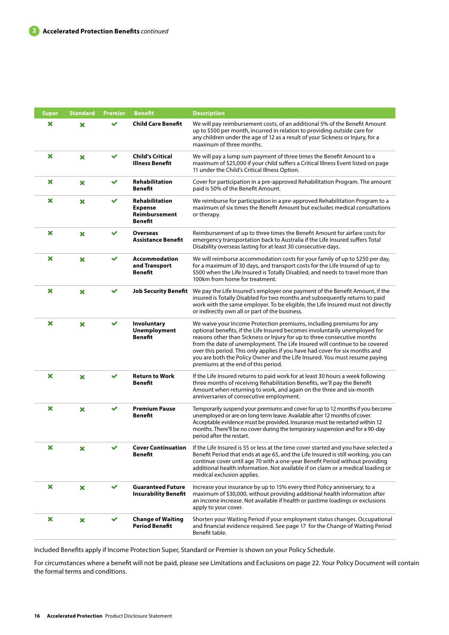| <b>Super</b> | <b>Standard</b>           | <b>Premier</b> | <b>Benefit</b>                                                             | <b>Description</b>                                                                                                                                                                                                                                                                                                                                                                                                                                                                                                  |
|--------------|---------------------------|----------------|----------------------------------------------------------------------------|---------------------------------------------------------------------------------------------------------------------------------------------------------------------------------------------------------------------------------------------------------------------------------------------------------------------------------------------------------------------------------------------------------------------------------------------------------------------------------------------------------------------|
| ×            | ×                         |                | <b>Child Care Benefit</b>                                                  | We will pay reimbursement costs, of an additional 5% of the Benefit Amount<br>up to \$500 per month, incurred in relation to providing outside care for<br>any children under the age of 12 as a result of your Sickness or Injury, for a<br>maximum of three months.                                                                                                                                                                                                                                               |
| ×            | $\boldsymbol{\mathsf{x}}$ | $\checkmark$   | <b>Child's Critical</b><br><b>Illness Benefit</b>                          | We will pay a lump sum payment of three times the Benefit Amount to a<br>maximum of \$25,000 if your child suffers a Critical Illness Event listed on page<br>11 under the Child's Critical Illness Option.                                                                                                                                                                                                                                                                                                         |
| ×            | ×                         | ✓              | Rehabilitation<br><b>Benefit</b>                                           | Cover for participation in a pre-approved Rehabilitation Program. The amount<br>paid is 50% of the Benefit Amount.                                                                                                                                                                                                                                                                                                                                                                                                  |
| ×            | ×                         |                | <b>Rehabilitation</b><br><b>Expense</b><br>Reimbursement<br><b>Benefit</b> | We reimburse for participation in a pre-approved Rehabilitation Program to a<br>maximum of six times the Benefit Amount but excludes medical consultations<br>or therapy.                                                                                                                                                                                                                                                                                                                                           |
| ×            | ×                         |                | <b>Overseas</b><br>Assistance Benefit                                      | Reimbursement of up to three times the Benefit Amount for airfare costs for<br>emergency transportation back to Australia if the Life Insured suffers Total<br>Disability overseas lasting for at least 30 consecutive days.                                                                                                                                                                                                                                                                                        |
| ×            | $\boldsymbol{\mathsf{x}}$ | ✔              | Accommodation<br>and Transport<br>Benefit                                  | We will reimburse accommodation costs for your family of up to \$250 per day,<br>for a maximum of 30 days, and transport costs for the Life Insured of up to<br>\$500 when the Life Insured is Totally Disabled, and needs to travel more than<br>100km from home for treatment.                                                                                                                                                                                                                                    |
| ×            | ×                         |                | <b>Job Security Benefit</b>                                                | We pay the Life Insured's employer one payment of the Benefit Amount, if the<br>insured is Totally Disabled for two months and subsequently returns to paid<br>work with the same employer. To be eligible, the Life Insured must not directly<br>or indirectly own all or part of the business.                                                                                                                                                                                                                    |
| ×            | $\boldsymbol{\mathsf{x}}$ |                | Involuntary<br><b>Unemployment</b><br>Benefit                              | We waive your Income Protection premiums, including premiums for any<br>optional benefits, if the Life Insured becomes involuntarily unemployed for<br>reasons other than Sickness or Injury for up to three consecutive months<br>from the date of unemployment. The Life Insured will continue to be covered<br>over this period. This only applies if you have had cover for six months and<br>you are both the Policy Owner and the Life Insured. You must resume paying<br>premiums at the end of this period. |
| ×            | $\boldsymbol{\times}$     | ✔              | <b>Return to Work</b><br><b>Benefit</b>                                    | If the Life Insured returns to paid work for at least 30 hours a week following<br>three months of receiving Rehabilitation Benefits, we'll pay the Benefit<br>Amount when returning to work, and again on the three and six-month<br>anniversaries of consecutive employment.                                                                                                                                                                                                                                      |
| ×            | ×                         | $\checkmark$   | <b>Premium Pause</b><br>Benefit                                            | Temporarily suspend your premiums and cover for up to 12 months if you become<br>unemployed or are on long term leave. Available after 12 months of cover.<br>Acceptable evidence must be provided. Insurance must be restarted within 12<br>months. There'll be no cover during the temporary suspension and for a 90-day<br>period after the restart.                                                                                                                                                             |
|              | x                         |                | <b>Cover Continuation</b><br>Benefit                                       | If the Life Insured is 55 or less at the time cover started and you have selected a<br>Benefit Period that ends at age 65, and the Life Insured is still working, you can<br>continue cover until age 70 with a one-year Benefit Period without providing<br>additional health information. Not available if on claim or a medical loading or<br>medical exclusion applies.                                                                                                                                         |
| ×            | $\boldsymbol{\mathsf{x}}$ | $\checkmark$   | <b>Guaranteed Future</b><br><b>Insurability Benefit</b>                    | Increase your insurance by up to 15% every third Policy anniversary, to a<br>maximum of \$30,000, without providing additional health information after<br>an income increase. Not available if health or pastime loadings or exclusions<br>apply to your cover.                                                                                                                                                                                                                                                    |
| ×            | ×                         | ✔              | <b>Change of Waiting</b><br><b>Period Benefit</b>                          | Shorten your Waiting Period if your employment status changes. Occupational<br>and financial evidence required. See page 17 for the Change of Waiting Period<br>Benefit table.                                                                                                                                                                                                                                                                                                                                      |

Included Benefits apply if Income Protection Super, Standard or Premier is shown on your Policy Schedule.

For circumstances where a benefit will not be paid, please see Limitations and Exclusions on page 22. Your Policy Document will contain the formal terms and conditions.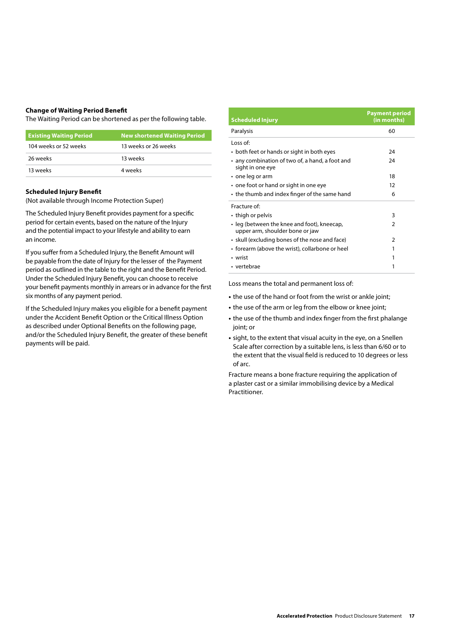#### **Change of Waiting Period Benefit**

The Waiting Period can be shortened as per the following table.

| <b>Existing Waiting Period</b> | <b>New shortened Waiting Period</b> |
|--------------------------------|-------------------------------------|
| 104 weeks or 52 weeks          | 13 weeks or 26 weeks                |
| 26 weeks                       | 13 weeks                            |
| 13 weeks                       | 4 weeks                             |

#### **Scheduled Injury Benefit**

(Not available through Income Protection Super)

The Scheduled Injury Benefit provides payment for a specific period for certain events, based on the nature of the Injury and the potential impact to your lifestyle and ability to earn an income.

If you suffer from a Scheduled Injury, the Benefit Amount will be payable from the date of Injury for the lesser of the Payment period as outlined in the table to the right and the Benefit Period. Under the Scheduled Injury Benefit, you can choose to receive your benefit payments monthly in arrears or in advance for the first six months of any payment period.

If the Scheduled Injury makes you eligible for a benefit payment under the Accident Benefit Option or the Critical Illness Option as described under Optional Benefits on the following page, and/or the Scheduled Injury Benefit, the greater of these benefit payments will be paid.

| <b>Scheduled Injury</b>                                                        | <b>Payment period</b><br>(in months) |
|--------------------------------------------------------------------------------|--------------------------------------|
| Paralysis                                                                      | 60                                   |
| Loss of:                                                                       |                                      |
| • both feet or hands or sight in both eyes                                     | 24                                   |
| • any combination of two of, a hand, a foot and<br>sight in one eye            | 24                                   |
| $\cdot$ one leg or arm                                                         | 18                                   |
| • one foot or hand or sight in one eye                                         | 12                                   |
| • the thumb and index finger of the same hand                                  | 6                                    |
| Fracture of:                                                                   |                                      |
| • thigh or pelvis                                                              | 3                                    |
| • leg (between the knee and foot), kneecap,<br>upper arm, shoulder bone or jaw | 2                                    |
| • skull (excluding bones of the nose and face)                                 | $\mathcal{P}$                        |
| • forearm (above the wrist), collarbone or heel                                | 1                                    |
| • wrist                                                                        | 1                                    |
| • vertebrae                                                                    |                                      |

Loss means the total and permanent loss of:

- **•** the use of the hand or foot from the wrist or ankle joint;
- **•** the use of the arm or leg from the elbow or knee joint;
- **•** the use of the thumb and index finger from the first phalange joint; or
- **•** sight, to the extent that visual acuity in the eye, on a Snellen Scale after correction by a suitable lens, is less than 6/60 or to the extent that the visual field is reduced to 10 degrees or less of arc.

Fracture means a bone fracture requiring the application of a plaster cast or a similar immobilising device by a Medical Practitioner.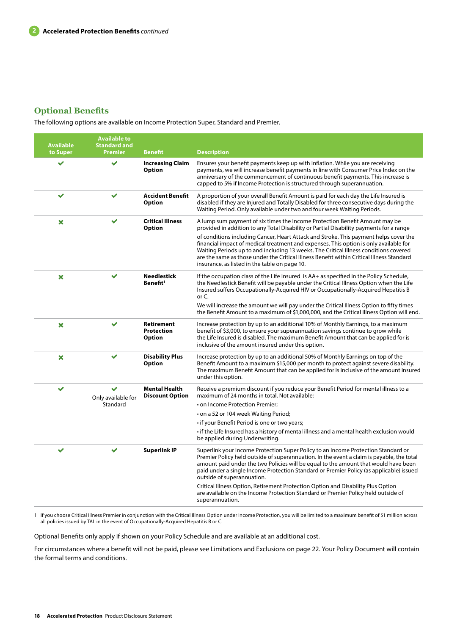## **Optional Benefits**

The following options are available on Income Protection Super, Standard and Premier.

| <b>Available</b><br>to Super | <b>Available to</b><br><b>Standard and</b><br><b>Premier</b> | <b>Benefit</b>                                          | <b>Description</b>                                                                                                                                                                                                                                                                                                                                                                                                                                                                                                                                                                              |
|------------------------------|--------------------------------------------------------------|---------------------------------------------------------|-------------------------------------------------------------------------------------------------------------------------------------------------------------------------------------------------------------------------------------------------------------------------------------------------------------------------------------------------------------------------------------------------------------------------------------------------------------------------------------------------------------------------------------------------------------------------------------------------|
| ✔                            | ✓                                                            | <b>Increasing Claim</b><br><b>Option</b>                | Ensures your benefit payments keep up with inflation. While you are receiving<br>payments, we will increase benefit payments in line with Consumer Price Index on the<br>anniversary of the commencement of continuous benefit payments. This increase is<br>capped to 5% if Income Protection is structured through superannuation.                                                                                                                                                                                                                                                            |
| $\checkmark$                 |                                                              | <b>Accident Benefit</b><br><b>Option</b>                | A proportion of your overall Benefit Amount is paid for each day the Life Insured is<br>disabled if they are Injured and Totally Disabled for three consecutive days during the<br>Waiting Period. Only available under two and four week Waiting Periods.                                                                                                                                                                                                                                                                                                                                      |
| ×                            | ✓                                                            | <b>Critical Illness</b><br><b>Option</b>                | A lump sum payment of six times the Income Protection Benefit Amount may be<br>provided in addition to any Total Disability or Partial Disability payments for a range<br>of conditions including Cancer, Heart Attack and Stroke. This payment helps cover the<br>financial impact of medical treatment and expenses. This option is only available for<br>Waiting Periods up to and including 13 weeks. The Critical Illness conditions covered<br>are the same as those under the Critical Illness Benefit within Critical Illness Standard<br>insurance, as listed in the table on page 10. |
| ×                            | $\checkmark$                                                 | <b>Needlestick</b><br>Benefit <sup>1</sup>              | If the occupation class of the Life Insured is AA+ as specified in the Policy Schedule,<br>the Needlestick Benefit will be payable under the Critical Illness Option when the Life<br>Insured suffers Occupationally-Acquired HIV or Occupationally-Acquired Hepatitis B<br>or C.<br>We will increase the amount we will pay under the Critical Illness Option to fifty times<br>the Benefit Amount to a maximum of \$1,000,000, and the Critical Illness Option will end.                                                                                                                      |
| ×                            |                                                              | <b>Retirement</b><br><b>Protection</b><br><b>Option</b> | Increase protection by up to an additional 10% of Monthly Earnings, to a maximum<br>benefit of \$3,000, to ensure your superannuation savings continue to grow while<br>the Life Insured is disabled. The maximum Benefit Amount that can be applied for is<br>inclusive of the amount insured under this option.                                                                                                                                                                                                                                                                               |
| ×                            | $\checkmark$                                                 | <b>Disability Plus</b><br><b>Option</b>                 | Increase protection by up to an additional 50% of Monthly Earnings on top of the<br>Benefit Amount to a maximum \$15,000 per month to protect against severe disability.<br>The maximum Benefit Amount that can be applied for is inclusive of the amount insured<br>under this option.                                                                                                                                                                                                                                                                                                         |
| $\checkmark$                 | ✓<br>Only available for<br>Standard                          | <b>Mental Health</b><br><b>Discount Option</b>          | Receive a premium discount if you reduce your Benefit Period for mental illness to a<br>maximum of 24 months in total. Not available:<br>• on Income Protection Premier;<br>• on a 52 or 104 week Waiting Period;<br>• if your Benefit Period is one or two years;<br>• if the Life Insured has a history of mental illness and a mental health exclusion would<br>be applied during Underwriting.                                                                                                                                                                                              |
| ✓                            |                                                              | <b>Superlink IP</b>                                     | Superlink your Income Protection Super Policy to an Income Protection Standard or<br>Premier Policy held outside of superannuation. In the event a claim is payable, the total<br>amount paid under the two Policies will be equal to the amount that would have been<br>paid under a single Income Protection Standard or Premier Policy (as applicable) issued<br>outside of superannuation.<br>Critical Illness Option, Retirement Protection Option and Disability Plus Option<br>are available on the Income Protection Standard or Premier Policy held outside of<br>superannuation.      |

1 If you choose Critical Illness Premier in conjunction with the Critical Illness Option under Income Protection, you will be limited to a maximum benefit of \$1 million across all policies issued by TAL in the event of Occupationally-Acquired Hepatitis B or C.

Optional Benefits only apply if shown on your Policy Schedule and are available at an additional cost.

For circumstances where a benefit will not be paid, please see Limitations and Exclusions on page 22. Your Policy Document will contain the formal terms and conditions.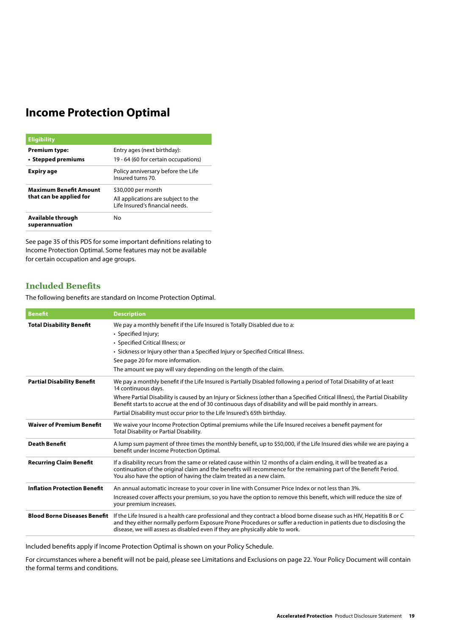## **Income Protection Optimal**

| <b>Eligibility</b>                                       |                                                                                              |
|----------------------------------------------------------|----------------------------------------------------------------------------------------------|
| Premium type:<br>• Stepped premiums                      | Entry ages (next birthday):<br>19 - 64 (60 for certain occupations)                          |
| Expiry age                                               | Policy anniversary before the Life<br>Insured turns 70.                                      |
| <b>Maximum Benefit Amount</b><br>that can be applied for | \$30,000 per month<br>All applications are subject to the<br>Life Insured's financial needs. |
| Available through<br>superannuation                      | No                                                                                           |

See page 35 of this PDS for some important definitions relating to Income Protection Optimal. Some features may not be available for certain occupation and age groups.

## **Included Benefits**

The following benefits are standard on Income Protection Optimal.

| <b>Benefit</b>                      | <b>Description</b>                                                                                                                                                                                                                                                                                                                                                                                                                                                        |
|-------------------------------------|---------------------------------------------------------------------------------------------------------------------------------------------------------------------------------------------------------------------------------------------------------------------------------------------------------------------------------------------------------------------------------------------------------------------------------------------------------------------------|
| <b>Total Disability Benefit</b>     | We pay a monthly benefit if the Life Insured is Totally Disabled due to a:<br>• Specified Injury;<br>• Specified Critical Illness; or<br>• Sickness or Injury other than a Specified Injury or Specified Critical Illness.<br>See page 20 for more information.<br>The amount we pay will vary depending on the length of the claim.                                                                                                                                      |
| <b>Partial Disability Benefit</b>   | We pay a monthly benefit if the Life Insured is Partially Disabled following a period of Total Disability of at least<br>14 continuous days.<br>Where Partial Disability is caused by an Injury or Sickness (other than a Specified Critical Illness), the Partial Disability<br>Benefit starts to accrue at the end of 30 continuous days of disability and will be paid monthly in arrears.<br>Partial Disability must occur prior to the Life Insured's 65th birthday. |
| <b>Waiver of Premium Benefit</b>    | We waive your Income Protection Optimal premiums while the Life Insured receives a benefit payment for<br>Total Disability or Partial Disability.                                                                                                                                                                                                                                                                                                                         |
| <b>Death Benefit</b>                | A lump sum payment of three times the monthly benefit, up to \$50,000, if the Life Insured dies while we are paying a<br>benefit under Income Protection Optimal.                                                                                                                                                                                                                                                                                                         |
| <b>Recurring Claim Benefit</b>      | If a disability recurs from the same or related cause within 12 months of a claim ending, it will be treated as a<br>continuation of the original claim and the benefits will recommence for the remaining part of the Benefit Period.<br>You also have the option of having the claim treated as a new claim.                                                                                                                                                            |
| <b>Inflation Protection Benefit</b> | An annual automatic increase to your cover in line with Consumer Price Index or not less than 3%.<br>Increased cover affects your premium, so you have the option to remove this benefit, which will reduce the size of<br>your premium increases.                                                                                                                                                                                                                        |
| <b>Blood Borne Diseases Benefit</b> | If the Life Insured is a health care professional and they contract a blood borne disease such as HIV, Hepatitis B or C<br>and they either normally perform Exposure Prone Procedures or suffer a reduction in patients due to disclosing the<br>disease, we will assess as disabled even if they are physically able to work.                                                                                                                                            |

Included benefits apply if Income Protection Optimal is shown on your Policy Schedule.

For circumstances where a benefit will not be paid, please see Limitations and Exclusions on page 22. Your Policy Document will contain the formal terms and conditions.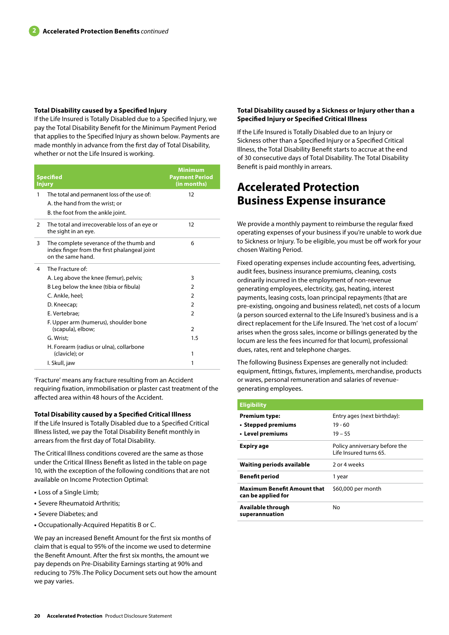#### **Total Disability caused by a Specified Injury**

If the Life Insured is Totally Disabled due to a Specified Injury, we pay the Total Disability Benefit for the Minimum Payment Period that applies to the Specified Injury as shown below. Payments are made monthly in advance from the first day of Total Disability, whether or not the Life Insured is working.

| <b>Specified</b><br><b>Injury</b> |                                                                                                              | <b>Minimum</b><br><b>Payment Period</b><br>(in months) |
|-----------------------------------|--------------------------------------------------------------------------------------------------------------|--------------------------------------------------------|
| 1                                 | The total and permanent loss of the use of:<br>A. the hand from the wrist; or                                | 12                                                     |
|                                   | B. the foot from the ankle joint.                                                                            |                                                        |
| $\overline{2}$                    | The total and irrecoverable loss of an eye or<br>the sight in an eye.                                        | 12                                                     |
| 3                                 | The complete severance of the thumb and<br>index finger from the first phalangeal joint<br>on the same hand. | 6                                                      |
| 4                                 | The Fracture of:                                                                                             |                                                        |
|                                   | A. Leg above the knee (femur), pelvis;                                                                       | 3                                                      |
|                                   | B Leg below the knee (tibia or fibula)                                                                       | $\overline{2}$                                         |
|                                   | C. Ankle, heel;                                                                                              | $\mathcal{P}$                                          |
|                                   | D. Kneecap;                                                                                                  | $\overline{2}$                                         |
|                                   | E. Vertebrae:                                                                                                | $\overline{2}$                                         |
|                                   | F. Upper arm (humerus), shoulder bone<br>(scapula), elbow;                                                   | 2                                                      |
|                                   | G. Wrist:                                                                                                    | 1.5                                                    |
|                                   | H. Forearm (radius or ulna), collarbone                                                                      |                                                        |
|                                   | (clavicle); or                                                                                               | 1                                                      |
|                                   | I. Skull, jaw                                                                                                | 1                                                      |

'Fracture' means any fracture resulting from an Accident requiring fixation, immobilisation or plaster cast treatment of the affected area within 48 hours of the Accident.

#### **Total Disability caused by a Specified Critical Illness**

If the Life Insured is Totally Disabled due to a Specified Critical Illness listed, we pay the Total Disability Benefit monthly in arrears from the first day of Total Disability.

The Critical Illness conditions covered are the same as those under the Critical Illness Benefit as listed in the table on page 10, with the exception of the following conditions that are not available on Income Protection Optimal:

- **•** Loss of a Single Limb;
- **•** Severe Rheumatoid Arthritis;
- **•** Severe Diabetes; and
- **•** Occupationally-Acquired Hepatitis B or C.

We pay an increased Benefit Amount for the first six months of claim that is equal to 95% of the income we used to determine the Benefit Amount. After the first six months, the amount we pay depends on Pre-Disability Earnings starting at 90% and reducing to 75% .The Policy Document sets out how the amount we pay varies.

#### **Total Disability caused by a Sickness or Injury other than a Specified Injury or Specified Critical Illness**

If the Life Insured is Totally Disabled due to an Injury or Sickness other than a Specified Injury or a Specified Critical Illness, the Total Disability Benefit starts to accrue at the end of 30 consecutive days of Total Disability. The Total Disability Benefit is paid monthly in arrears.

## **Accelerated Protection Business Expense insurance**

We provide a monthly payment to reimburse the regular fixed operating expenses of your business if you're unable to work due to Sickness or Injury. To be eligible, you must be off work for your chosen Waiting Period.

Fixed operating expenses include accounting fees, advertising, audit fees, business insurance premiums, cleaning, costs ordinarily incurred in the employment of non-revenue generating employees, electricity, gas, heating, interest payments, leasing costs, loan principal repayments (that are pre-existing, ongoing and business related), net costs of a locum (a person sourced external to the Life Insured's business and is a direct replacement for the Life Insured. The 'net cost of a locum' arises when the gross sales, income or billings generated by the locum are less the fees incurred for that locum), professional dues, rates, rent and telephone charges.

The following Business Expenses are generally not included: equipment, fittings, fixtures, implements, merchandise, products or wares, personal remuneration and salaries of revenuegenerating employees.

| <b>Eligibility</b>                                       |                                                         |  |
|----------------------------------------------------------|---------------------------------------------------------|--|
| <b>Premium type:</b>                                     | Entry ages (next birthday):                             |  |
| • Stepped premiums                                       | 19 - 60                                                 |  |
| • Level premiums                                         | $19 - 55$                                               |  |
| Expiry age                                               | Policy anniversary before the<br>Life Insured turns 65. |  |
| <b>Waiting periods available</b>                         | 2 or 4 weeks                                            |  |
| <b>Benefit period</b>                                    | 1 year                                                  |  |
| <b>Maximum Benefit Amount that</b><br>can be applied for | \$60,000 per month                                      |  |
| Available through<br>superannuation                      | Nο                                                      |  |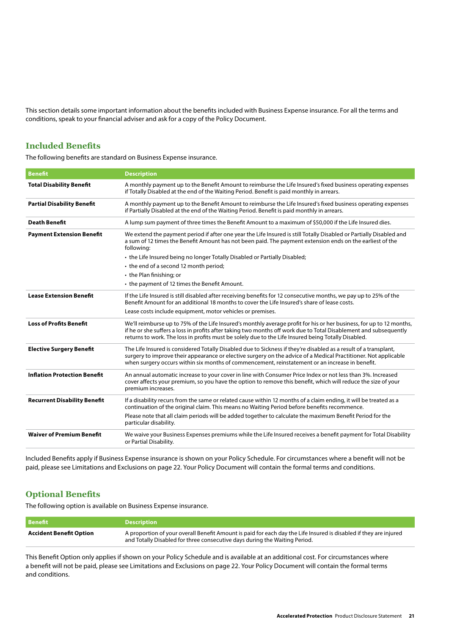This section details some important information about the benefits included with Business Expense insurance. For all the terms and conditions, speak to your financial adviser and ask for a copy of the Policy Document.

## **Included Benefits**

The following benefits are standard on Business Expense insurance.

| <b>Benefit</b>                      | <b>Description</b>                                                                                                                                                                                                                                                                                                                               |
|-------------------------------------|--------------------------------------------------------------------------------------------------------------------------------------------------------------------------------------------------------------------------------------------------------------------------------------------------------------------------------------------------|
| <b>Total Disability Benefit</b>     | A monthly payment up to the Benefit Amount to reimburse the Life Insured's fixed business operating expenses<br>if Totally Disabled at the end of the Waiting Period. Benefit is paid monthly in arrears.                                                                                                                                        |
| <b>Partial Disability Benefit</b>   | A monthly payment up to the Benefit Amount to reimburse the Life Insured's fixed business operating expenses<br>if Partially Disabled at the end of the Waiting Period. Benefit is paid monthly in arrears.                                                                                                                                      |
| <b>Death Benefit</b>                | A lump sum payment of three times the Benefit Amount to a maximum of \$50,000 if the Life Insured dies.                                                                                                                                                                                                                                          |
| <b>Payment Extension Benefit</b>    | We extend the payment period if after one year the Life Insured is still Totally Disabled or Partially Disabled and<br>a sum of 12 times the Benefit Amount has not been paid. The payment extension ends on the earliest of the<br>following:                                                                                                   |
|                                     | • the Life Insured being no longer Totally Disabled or Partially Disabled;                                                                                                                                                                                                                                                                       |
|                                     | • the end of a second 12 month period;                                                                                                                                                                                                                                                                                                           |
|                                     | • the Plan finishing; or                                                                                                                                                                                                                                                                                                                         |
|                                     | • the payment of 12 times the Benefit Amount.                                                                                                                                                                                                                                                                                                    |
| <b>Lease Extension Benefit</b>      | If the Life Insured is still disabled after receiving benefits for 12 consecutive months, we pay up to 25% of the<br>Benefit Amount for an additional 18 months to cover the Life Insured's share of lease costs.                                                                                                                                |
|                                     | Lease costs include equipment, motor vehicles or premises.                                                                                                                                                                                                                                                                                       |
| <b>Loss of Profits Benefit</b>      | We'll reimburse up to 75% of the Life Insured's monthly average profit for his or her business, for up to 12 months,<br>if he or she suffers a loss in profits after taking two months off work due to Total Disablement and subsequently<br>returns to work. The loss in profits must be solely due to the Life Insured being Totally Disabled. |
| <b>Elective Surgery Benefit</b>     | The Life Insured is considered Totally Disabled due to Sickness if they're disabled as a result of a transplant,<br>surgery to improve their appearance or elective surgery on the advice of a Medical Practitioner. Not applicable<br>when surgery occurs within six months of commencement, reinstatement or an increase in benefit.           |
| <b>Inflation Protection Benefit</b> | An annual automatic increase to your cover in line with Consumer Price Index or not less than 3%. Increased<br>cover affects your premium, so you have the option to remove this benefit, which will reduce the size of your<br>premium increases.                                                                                               |
| <b>Recurrent Disability Benefit</b> | If a disability recurs from the same or related cause within 12 months of a claim ending, it will be treated as a<br>continuation of the original claim. This means no Waiting Period before benefits recommence.                                                                                                                                |
|                                     | Please note that all claim periods will be added together to calculate the maximum Benefit Period for the<br>particular disability.                                                                                                                                                                                                              |
| <b>Waiver of Premium Benefit</b>    | We waive your Business Expenses premiums while the Life Insured receives a benefit payment for Total Disability<br>or Partial Disability.                                                                                                                                                                                                        |

Included Benefits apply if Business Expense insurance is shown on your Policy Schedule. For circumstances where a benefit will not be paid, please see Limitations and Exclusions on page 22. Your Policy Document will contain the formal terms and conditions.

## **Optional Benefits**

The following option is available on Business Expense insurance.

| <b>Benefit</b>          | <b>Description</b>                                                                                                                                                                              |
|-------------------------|-------------------------------------------------------------------------------------------------------------------------------------------------------------------------------------------------|
| Accident Benefit Option | A proportion of your overall Benefit Amount is paid for each day the Life Insured is disabled if they are injured<br>and Totally Disabled for three consecutive days during the Waiting Period. |

This Benefit Option only applies if shown on your Policy Schedule and is available at an additional cost. For circumstances where a benefit will not be paid, please see Limitations and Exclusions on page 22. Your Policy Document will contain the formal terms and conditions.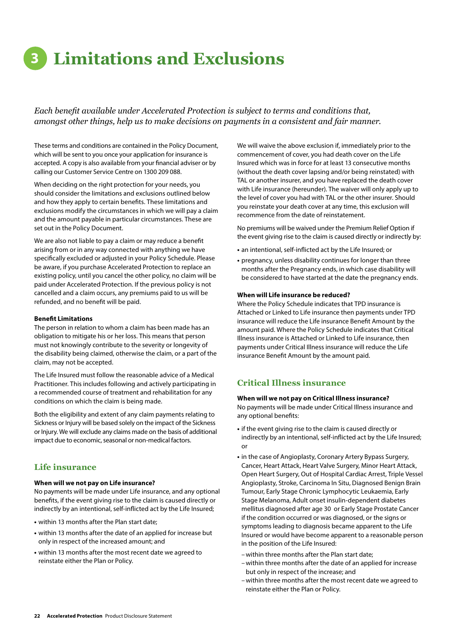# **3 Limitations and Exclusions**

*Each benefit available under Accelerated Protection is subject to terms and conditions that, amongst other things, help us to make decisions on payments in a consistent and fair manner.*

These terms and conditions are contained in the Policy Document, which will be sent to you once your application for insurance is accepted. A copy is also available from your financial adviser or by calling our Customer Service Centre on 1300 209 088.

When deciding on the right protection for your needs, you should consider the limitations and exclusions outlined below and how they apply to certain benefits. These limitations and exclusions modify the circumstances in which we will pay a claim and the amount payable in particular circumstances. These are set out in the Policy Document.

We are also not liable to pay a claim or may reduce a benefit arising from or in any way connected with anything we have specifically excluded or adjusted in your Policy Schedule. Please be aware, if you purchase Accelerated Protection to replace an existing policy, until you cancel the other policy, no claim will be paid under Accelerated Protection. If the previous policy is not cancelled and a claim occurs, any premiums paid to us will be refunded, and no benefit will be paid.

#### **Benefit Limitations**

The person in relation to whom a claim has been made has an obligation to mitigate his or her loss. This means that person must not knowingly contribute to the severity or longevity of the disability being claimed, otherwise the claim, or a part of the claim, may not be accepted.

The Life Insured must follow the reasonable advice of a Medical Practitioner. This includes following and actively participating in a recommended course of treatment and rehabilitation for any conditions on which the claim is being made.

Both the eligibility and extent of any claim payments relating to Sickness or Injury will be based solely on the impact of the Sickness or Injury. We will exclude any claims made on the basis of additional impact due to economic, seasonal or non-medical factors.

## **Life insurance**

#### **When will we not pay on Life insurance?**

No payments will be made under Life insurance, and any optional benefits, if the event giving rise to the claim is caused directly or indirectly by an intentional, self-inflicted act by the Life Insured;

- **•** within 13 months after the Plan start date;
- **•** within 13 months after the date of an applied for increase but only in respect of the increased amount; and
- **•** within 13 months after the most recent date we agreed to reinstate either the Plan or Policy.

We will waive the above exclusion if, immediately prior to the commencement of cover, you had death cover on the Life Insured which was in force for at least 13 consecutive months (without the death cover lapsing and/or being reinstated) with TAL or another insurer, and you have replaced the death cover with Life insurance (hereunder). The waiver will only apply up to the level of cover you had with TAL or the other insurer. Should you reinstate your death cover at any time, this exclusion will recommence from the date of reinstatement.

No premiums will be waived under the Premium Relief Option if the event giving rise to the claim is caused directly or indirectly by:

- **•** an intentional, self-inflicted act by the Life Insured; or
- **•** pregnancy, unless disability continues for longer than three months after the Pregnancy ends, in which case disability will be considered to have started at the date the pregnancy ends.

#### **When will Life insurance be reduced?**

Where the Policy Schedule indicates that TPD insurance is Attached or Linked to Life insurance then payments under TPD insurance will reduce the Life insurance Benefit Amount by the amount paid. Where the Policy Schedule indicates that Critical Illness insurance is Attached or Linked to Life insurance, then payments under Critical Illness insurance will reduce the Life insurance Benefit Amount by the amount paid.

## **Critical Illness insurance**

#### **When will we not pay on Critical Illness insurance?**

No payments will be made under Critical Illness insurance and any optional benefits:

- **•** if the event giving rise to the claim is caused directly or indirectly by an intentional, self-inflicted act by the Life Insured; or
- **•** in the case of Angioplasty, Coronary Artery Bypass Surgery, Cancer, Heart Attack, Heart Valve Surgery, Minor Heart Attack, Open Heart Surgery, Out of Hospital Cardiac Arrest, Triple Vessel Angioplasty, Stroke, Carcinoma In Situ, Diagnosed Benign Brain Tumour, Early Stage Chronic Lymphocytic Leukaemia, Early Stage Melanoma, Adult onset insulin-dependent diabetes mellitus diagnosed after age 30 or Early Stage Prostate Cancer if the condition occurred or was diagnosed, or the signs or symptoms leading to diagnosis became apparent to the Life Insured or would have become apparent to a reasonable person in the position of the Life Insured:
	- –within three months after the Plan start date;
- –within three months after the date of an applied for increase but only in respect of the increase; and
- –within three months after the most recent date we agreed to reinstate either the Plan or Policy.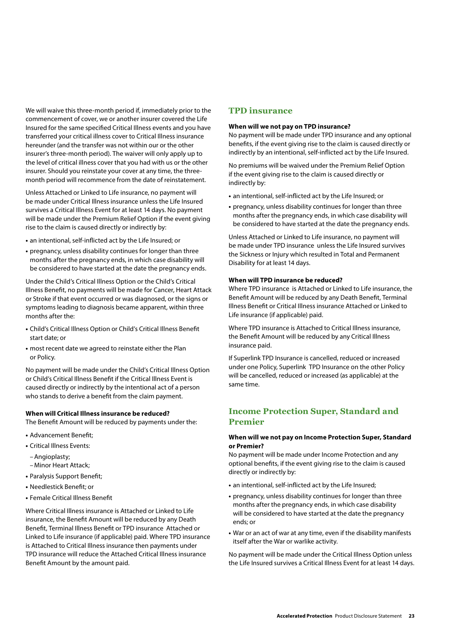We will waive this three-month period if, immediately prior to the commencement of cover, we or another insurer covered the Life Insured for the same specified Critical Illness events and you have transferred your critical illness cover to Critical Illness insurance hereunder (and the transfer was not within our or the other insurer's three-month period). The waiver will only apply up to the level of critical illness cover that you had with us or the other insurer. Should you reinstate your cover at any time, the threemonth period will recommence from the date of reinstatement.

Unless Attached or Linked to Life insurance, no payment will be made under Critical Illness insurance unless the Life Insured survives a Critical Illness Event for at least 14 days. No payment will be made under the Premium Relief Option if the event giving rise to the claim is caused directly or indirectly by:

- **•** an intentional, self-inflicted act by the Life Insured; or
- **•** pregnancy, unless disability continues for longer than three months after the pregnancy ends, in which case disability will be considered to have started at the date the pregnancy ends.

Under the Child's Critical Illness Option or the Child's Critical Illness Benefit, no payments will be made for Cancer, Heart Attack or Stroke if that event occurred or was diagnosed, or the signs or symptoms leading to diagnosis became apparent, within three months after the:

- **•** Child's Critical Illness Option or Child's Critical Illness Benefit start date; or
- **•** most recent date we agreed to reinstate either the Plan or Policy.

No payment will be made under the Child's Critical Illness Option or Child's Critical Illness Benefit if the Critical Illness Event is caused directly or indirectly by the intentional act of a person who stands to derive a benefit from the claim payment.

#### **When will Critical Illness insurance be reduced?**

The Benefit Amount will be reduced by payments under the:

- **•** Advancement Benefit;
- **•** Critical Illness Events:
	- –Angioplasty;
	- –Minor Heart Attack;
- **•** Paralysis Support Benefit;
- **•** Needlestick Benefit; or
- **•** Female Critical Illness Benefit

Where Critical Illness insurance is Attached or Linked to Life insurance, the Benefit Amount will be reduced by any Death Benefit, Terminal Illness Benefit or TPD insurance Attached or Linked to Life insurance (if applicable) paid. Where TPD insurance is Attached to Critical Illness insurance then payments under TPD insurance will reduce the Attached Critical Illness insurance Benefit Amount by the amount paid.

#### **TPD insurance**

#### **When will we not pay on TPD insurance?**

No payment will be made under TPD insurance and any optional benefits, if the event giving rise to the claim is caused directly or indirectly by an intentional, self-inflicted act by the Life Insured.

No premiums will be waived under the Premium Relief Option if the event giving rise to the claim is caused directly or indirectly by:

- **•** an intentional, self-inflicted act by the Life Insured; or
- **•** pregnancy, unless disability continues for longer than three months after the pregnancy ends, in which case disability will be considered to have started at the date the pregnancy ends.

Unless Attached or Linked to Life insurance, no payment will be made under TPD insurance unless the Life Insured survives the Sickness or Injury which resulted in Total and Permanent Disability for at least 14 days.

#### **When will TPD insurance be reduced?**

Where TPD insurance is Attached or Linked to Life insurance, the Benefit Amount will be reduced by any Death Benefit, Terminal Illness Benefit or Critical Illness insurance Attached or Linked to Life insurance (if applicable) paid.

Where TPD insurance is Attached to Critical Illness insurance, the Benefit Amount will be reduced by any Critical Illness insurance paid.

If Superlink TPD Insurance is cancelled, reduced or increased under one Policy, Superlink TPD Insurance on the other Policy will be cancelled, reduced or increased (as applicable) at the same time.

## **Income Protection Super, Standard and Premier**

#### **When will we not pay on Income Protection Super, Standard or Premier?**

No payment will be made under Income Protection and any optional benefits, if the event giving rise to the claim is caused directly or indirectly by:

- **•** an intentional, self-inflicted act by the Life Insured;
- **•** pregnancy, unless disability continues for longer than three months after the pregnancy ends, in which case disability will be considered to have started at the date the pregnancy ends; or
- **•** War or an act of war at any time, even if the disability manifests itself after the War or warlike activity.

No payment will be made under the Critical Illness Option unless the Life Insured survives a Critical Illness Event for at least 14 days.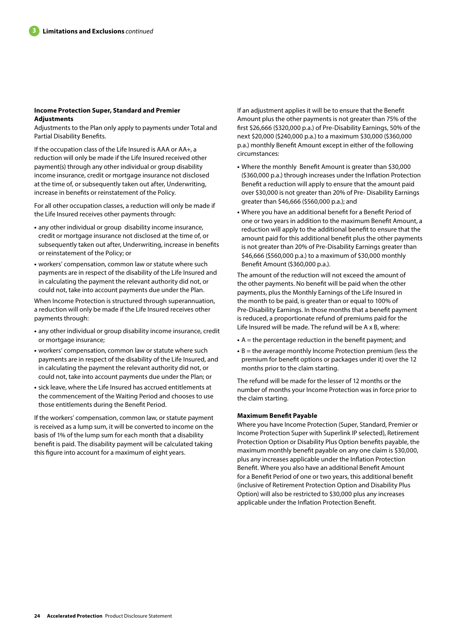#### **Income Protection Super, Standard and Premier Adjustments**

Adjustments to the Plan only apply to payments under Total and Partial Disability Benefits.

If the occupation class of the Life Insured is AAA or AA+, a reduction will only be made if the Life Insured received other payment(s) through any other individual or group disability income insurance, credit or mortgage insurance not disclosed at the time of, or subsequently taken out after, Underwriting, increase in benefits or reinstatement of the Policy.

For all other occupation classes, a reduction will only be made if the Life Insured receives other payments through:

- **•** any other individual or group disability income insurance, credit or mortgage insurance not disclosed at the time of, or subsequently taken out after, Underwriting, increase in benefits or reinstatement of the Policy; or
- **•** workers' compensation, common law or statute where such payments are in respect of the disability of the Life Insured and in calculating the payment the relevant authority did not, or could not, take into account payments due under the Plan.

When Income Protection is structured through superannuation, a reduction will only be made if the Life Insured receives other payments through:

- **•** any other individual or group disability income insurance, credit or mortgage insurance;
- **•** workers' compensation, common law or statute where such payments are in respect of the disability of the Life Insured, and in calculating the payment the relevant authority did not, or could not, take into account payments due under the Plan; or
- **•** sick leave, where the Life Insured has accrued entitlements at the commencement of the Waiting Period and chooses to use those entitlements during the Benefit Period.

If the workers' compensation, common law, or statute payment is received as a lump sum, it will be converted to income on the basis of 1% of the lump sum for each month that a disability benefit is paid. The disability payment will be calculated taking this figure into account for a maximum of eight years.

If an adjustment applies it will be to ensure that the Benefit Amount plus the other payments is not greater than 75% of the first \$26,666 (\$320,000 p.a.) of Pre-Disability Earnings, 50% of the next \$20,000 (\$240,000 p.a.) to a maximum \$30,000 (\$360,000 p.a.) monthly Benefit Amount except in either of the following circumstances:

- **•** Where the monthly Benefit Amount is greater than \$30,000 (\$360,000 p.a.) through increases under the Inflation Protection Benefit a reduction will apply to ensure that the amount paid over \$30,000 is not greater than 20% of Pre- Disability Earnings greater than \$46,666 (\$560,000 p.a.); and
- **•** Where you have an additional benefit for a Benefit Period of one or two years in addition to the maximum Benefit Amount, a reduction will apply to the additional benefit to ensure that the amount paid for this additional benefit plus the other payments is not greater than 20% of Pre-Disability Earnings greater than \$46,666 (\$560,000 p.a.) to a maximum of \$30,000 monthly Benefit Amount (\$360,000 p.a.).

The amount of the reduction will not exceed the amount of the other payments. No benefit will be paid when the other payments, plus the Monthly Earnings of the Life Insured in the month to be paid, is greater than or equal to 100% of Pre-Disability Earnings. In those months that a benefit payment is reduced, a proportionate refund of premiums paid for the Life Insured will be made. The refund will be A x B, where:

- **•** A = the percentage reduction in the benefit payment; and
- **•** B = the average monthly Income Protection premium (less the premium for benefit options or packages under it) over the 12 months prior to the claim starting.

The refund will be made for the lesser of 12 months or the number of months your Income Protection was in force prior to the claim starting.

#### **Maximum Benefit Payable**

Where you have Income Protection (Super, Standard, Premier or Income Protection Super with Superlink IP selected), Retirement Protection Option or Disability Plus Option benefits payable, the maximum monthly benefit payable on any one claim is \$30,000, plus any increases applicable under the Inflation Protection Benefit. Where you also have an additional Benefit Amount for a Benefit Period of one or two years, this additional benefit (inclusive of Retirement Protection Option and Disability Plus Option) will also be restricted to \$30,000 plus any increases applicable under the Inflation Protection Benefit.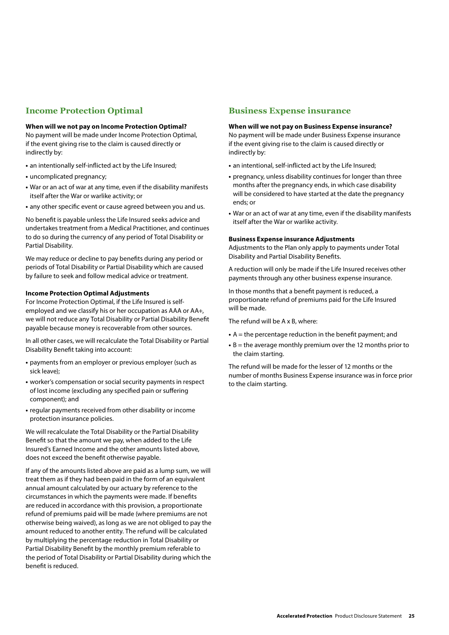## **Income Protection Optimal**

#### **When will we not pay on Income Protection Optimal?**

No payment will be made under Income Protection Optimal, if the event giving rise to the claim is caused directly or indirectly by:

- **•** an intentionally self-inflicted act by the Life Insured;
- **•** uncomplicated pregnancy;
- **•** War or an act of war at any time, even if the disability manifests itself after the War or warlike activity; or
- **•** any other specific event or cause agreed between you and us.

No benefit is payable unless the Life Insured seeks advice and undertakes treatment from a Medical Practitioner, and continues to do so during the currency of any period of Total Disability or Partial Disability.

We may reduce or decline to pay benefits during any period or periods of Total Disability or Partial Disability which are caused by failure to seek and follow medical advice or treatment.

#### **Income Protection Optimal Adjustments**

For Income Protection Optimal, if the Life Insured is selfemployed and we classify his or her occupation as AAA or AA+, we will not reduce any Total Disability or Partial Disability Benefit payable because money is recoverable from other sources.

In all other cases, we will recalculate the Total Disability or Partial Disability Benefit taking into account:

- **•** payments from an employer or previous employer (such as sick leave);
- **•** worker's compensation or social security payments in respect of lost income (excluding any specified pain or suffering component); and
- **•** regular payments received from other disability or income protection insurance policies.

We will recalculate the Total Disability or the Partial Disability Benefit so that the amount we pay, when added to the Life Insured's Earned Income and the other amounts listed above, does not exceed the benefit otherwise payable.

If any of the amounts listed above are paid as a lump sum, we will treat them as if they had been paid in the form of an equivalent annual amount calculated by our actuary by reference to the circumstances in which the payments were made. If benefits are reduced in accordance with this provision, a proportionate refund of premiums paid will be made (where premiums are not otherwise being waived), as long as we are not obliged to pay the amount reduced to another entity. The refund will be calculated by multiplying the percentage reduction in Total Disability or Partial Disability Benefit by the monthly premium referable to the period of Total Disability or Partial Disability during which the benefit is reduced.

## **Business Expense insurance**

#### **When will we not pay on Business Expense insurance?**

No payment will be made under Business Expense insurance if the event giving rise to the claim is caused directly or indirectly by:

- **•** an intentional, self-inflicted act by the Life Insured;
- **•** pregnancy, unless disability continues for longer than three months after the pregnancy ends, in which case disability will be considered to have started at the date the pregnancy ends; or
- **•** War or an act of war at any time, even if the disability manifests itself after the War or warlike activity.

#### **Business Expense insurance Adjustments**

Adjustments to the Plan only apply to payments under Total Disability and Partial Disability Benefits.

A reduction will only be made if the Life Insured receives other payments through any other business expense insurance.

In those months that a benefit payment is reduced, a proportionate refund of premiums paid for the Life Insured will be made.

The refund will be A x B, where:

- **•** A = the percentage reduction in the benefit payment; and
- **•** B = the average monthly premium over the 12 months prior to the claim starting.

The refund will be made for the lesser of 12 months or the number of months Business Expense insurance was in force prior to the claim starting.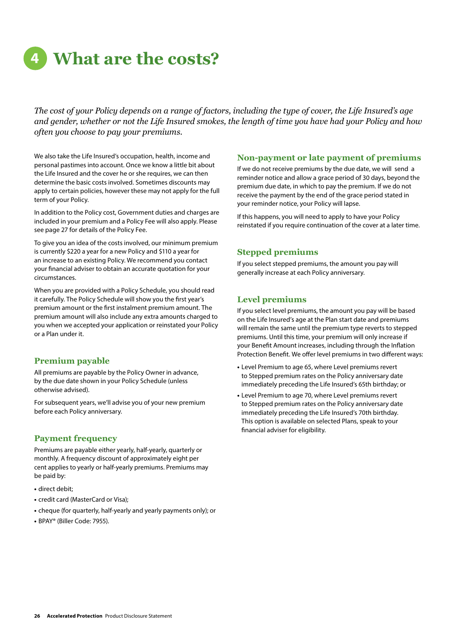# **4 What are the costs?**

*The cost of your Policy depends on a range of factors, including the type of cover, the Life Insured's age and gender, whether or not the Life Insured smokes, the length of time you have had your Policy and how often you choose to pay your premiums.*

We also take the Life Insured's occupation, health, income and personal pastimes into account. Once we know a little bit about the Life Insured and the cover he or she requires, we can then determine the basic costs involved. Sometimes discounts may apply to certain policies, however these may not apply for the full term of your Policy.

In addition to the Policy cost, Government duties and charges are included in your premium and a Policy Fee will also apply. Please see page 27 for details of the Policy Fee.

To give you an idea of the costs involved, our minimum premium is currently \$220 a year for a new Policy and \$110 a year for an increase to an existing Policy. We recommend you contact your financial adviser to obtain an accurate quotation for your circumstances.

When you are provided with a Policy Schedule, you should read it carefully. The Policy Schedule will show you the first year's premium amount or the first instalment premium amount. The premium amount will also include any extra amounts charged to you when we accepted your application or reinstated your Policy or a Plan under it.

## **Premium payable**

All premiums are payable by the Policy Owner in advance, by the due date shown in your Policy Schedule (unless otherwise advised).

For subsequent years, we'll advise you of your new premium before each Policy anniversary.

## **Payment frequency**

Premiums are payable either yearly, half-yearly, quarterly or monthly. A frequency discount of approximately eight per cent applies to yearly or half-yearly premiums. Premiums may be paid by:

- **•** direct debit;
- **•** credit card (MasterCard or Visa);
- **•** cheque (for quarterly, half-yearly and yearly payments only); or
- **•** BPAY® (Biller Code: 7955).

#### **Non-payment or late payment of premiums**

If we do not receive premiums by the due date, we will send a reminder notice and allow a grace period of 30 days, beyond the premium due date, in which to pay the premium. If we do not receive the payment by the end of the grace period stated in your reminder notice, your Policy will lapse.

If this happens, you will need to apply to have your Policy reinstated if you require continuation of the cover at a later time.

## **Stepped premiums**

If you select stepped premiums, the amount you pay will generally increase at each Policy anniversary.

## **Level premiums**

If you select level premiums, the amount you pay will be based on the Life Insured's age at the Plan start date and premiums will remain the same until the premium type reverts to stepped premiums. Until this time, your premium will only increase if your Benefit Amount increases, including through the Inflation Protection Benefit. We offer level premiums in two different ways:

- **•** Level Premium to age 65, where Level premiums revert to Stepped premium rates on the Policy anniversary date immediately preceding the Life Insured's 65th birthday; or
- **•** Level Premium to age 70, where Level premiums revert to Stepped premium rates on the Policy anniversary date immediately preceding the Life Insured's 70th birthday. This option is available on selected Plans, speak to your financial adviser for eligibility.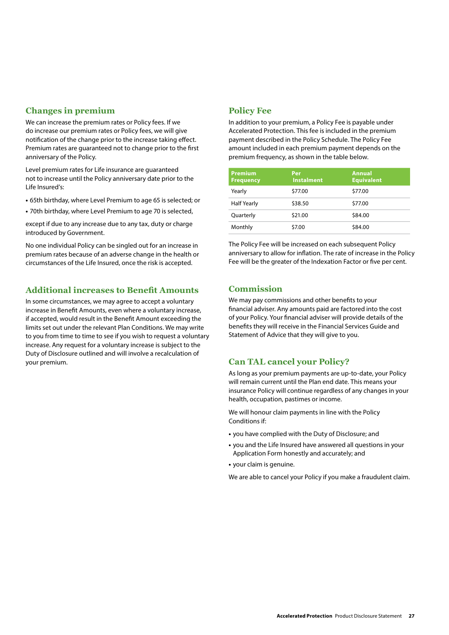## **Changes in premium**

We can increase the premium rates or Policy fees. If we do increase our premium rates or Policy fees, we will give notification of the change prior to the increase taking effect. Premium rates are guaranteed not to change prior to the first anniversary of the Policy.

Level premium rates for Life insurance are guaranteed not to increase until the Policy anniversary date prior to the Life Insured's:

- **•** 65th birthday, where Level Premium to age 65 is selected; or
- **•** 70th birthday, where Level Premium to age 70 is selected,

except if due to any increase due to any tax, duty or charge introduced by Government.

No one individual Policy can be singled out for an increase in premium rates because of an adverse change in the health or circumstances of the Life Insured, once the risk is accepted.

### **Additional increases to Benefit Amounts**

In some circumstances, we may agree to accept a voluntary increase in Benefit Amounts, even where a voluntary increase, if accepted, would result in the Benefit Amount exceeding the limits set out under the relevant Plan Conditions. We may write to you from time to time to see if you wish to request a voluntary increase. Any request for a voluntary increase is subject to the Duty of Disclosure outlined and will involve a recalculation of your premium.

## **Policy Fee**

In addition to your premium, a Policy Fee is payable under Accelerated Protection. This fee is included in the premium payment described in the Policy Schedule. The Policy Fee amount included in each premium payment depends on the premium frequency, as shown in the table below.

| <b>Premium</b><br><b>Frequency</b> | Per<br><b>Instalment</b> | <b>Annual</b><br><b>Equivalent</b> |
|------------------------------------|--------------------------|------------------------------------|
| Yearly                             | \$77.00                  | \$77.00                            |
| <b>Half Yearly</b>                 | \$38.50                  | \$77.00                            |
| Quarterly                          | \$21.00                  | \$84.00                            |
| Monthly                            | \$7.00                   | \$84.00                            |

The Policy Fee will be increased on each subsequent Policy anniversary to allow for inflation. The rate of increase in the Policy Fee will be the greater of the Indexation Factor or five per cent.

## **Commission**

We may pay commissions and other benefits to your financial adviser. Any amounts paid are factored into the cost of your Policy. Your financial adviser will provide details of the benefits they will receive in the Financial Services Guide and Statement of Advice that they will give to you.

## **Can TAL cancel your Policy?**

As long as your premium payments are up-to-date, your Policy will remain current until the Plan end date. This means your insurance Policy will continue regardless of any changes in your health, occupation, pastimes or income.

We will honour claim payments in line with the Policy Conditions if:

- **•** you have complied with the Duty of Disclosure; and
- **•** you and the Life Insured have answered all questions in your Application Form honestly and accurately; and
- **•** your claim is genuine.

We are able to cancel your Policy if you make a fraudulent claim.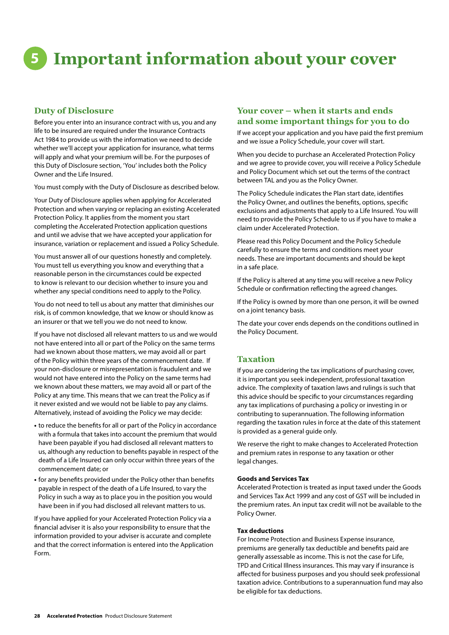# **5 Important information about your cover**

## **Duty of Disclosure**

Before you enter into an insurance contract with us, you and any life to be insured are required under the Insurance Contracts Act 1984 to provide us with the information we need to decide whether we'll accept your application for insurance, what terms will apply and what your premium will be. For the purposes of this Duty of Disclosure section, 'You' includes both the Policy Owner and the Life Insured.

You must comply with the Duty of Disclosure as described below.

Your Duty of Disclosure applies when applying for Accelerated Protection and when varying or replacing an existing Accelerated Protection Policy. It applies from the moment you start completing the Accelerated Protection application questions and until we advise that we have accepted your application for insurance, variation or replacement and issued a Policy Schedule.

You must answer all of our questions honestly and completely. You must tell us everything you know and everything that a reasonable person in the circumstances could be expected to know is relevant to our decision whether to insure you and whether any special conditions need to apply to the Policy.

You do not need to tell us about any matter that diminishes our risk, is of common knowledge, that we know or should know as an insurer or that we tell you we do not need to know.

If you have not disclosed all relevant matters to us and we would not have entered into all or part of the Policy on the same terms had we known about those matters, we may avoid all or part of the Policy within three years of the commencement date. If your non-disclosure or misrepresentation is fraudulent and we would not have entered into the Policy on the same terms had we known about these matters, we may avoid all or part of the Policy at any time. This means that we can treat the Policy as if it never existed and we would not be liable to pay any claims. Alternatively, instead of avoiding the Policy we may decide:

- **•** to reduce the benefits for all or part of the Policy in accordance with a formula that takes into account the premium that would have been payable if you had disclosed all relevant matters to us, although any reduction to benefits payable in respect of the death of a Life Insured can only occur within three years of the commencement date; or
- **•** for any benefits provided under the Policy other than benefits payable in respect of the death of a Life Insured, to vary the Policy in such a way as to place you in the position you would have been in if you had disclosed all relevant matters to us.

If you have applied for your Accelerated Protection Policy via a financial adviser it is also your responsibility to ensure that the information provided to your adviser is accurate and complete and that the correct information is entered into the Application Form.

## **Your cover – when it starts and ends and some important things for you to do**

If we accept your application and you have paid the first premium and we issue a Policy Schedule, your cover will start.

When you decide to purchase an Accelerated Protection Policy and we agree to provide cover, you will receive a Policy Schedule and Policy Document which set out the terms of the contract between TAL and you as the Policy Owner.

The Policy Schedule indicates the Plan start date, identifies the Policy Owner, and outlines the benefits, options, specific exclusions and adjustments that apply to a Life Insured. You will need to provide the Policy Schedule to us if you have to make a claim under Accelerated Protection.

Please read this Policy Document and the Policy Schedule carefully to ensure the terms and conditions meet your needs. These are important documents and should be kept in a safe place.

If the Policy is altered at any time you will receive a new Policy Schedule or confirmation reflecting the agreed changes.

If the Policy is owned by more than one person, it will be owned on a joint tenancy basis.

The date your cover ends depends on the conditions outlined in the Policy Document.

## **Taxation**

If you are considering the tax implications of purchasing cover, it is important you seek independent, professional taxation advice. The complexity of taxation laws and rulings is such that this advice should be specific to your circumstances regarding any tax implications of purchasing a policy or investing in or contributing to superannuation. The following information regarding the taxation rules in force at the date of this statement is provided as a general guide only.

We reserve the right to make changes to Accelerated Protection and premium rates in response to any taxation or other legal changes.

#### **Goods and Services Tax**

Accelerated Protection is treated as input taxed under the Goods and Services Tax Act 1999 and any cost of GST will be included in the premium rates. An input tax credit will not be available to the Policy Owner.

#### **Tax deductions**

For Income Protection and Business Expense insurance, premiums are generally tax deductible and benefits paid are generally assessable as income. This is not the case for Life, TPD and Critical Illness insurances. This may vary if insurance is affected for business purposes and you should seek professional taxation advice. Contributions to a superannuation fund may also be eligible for tax deductions.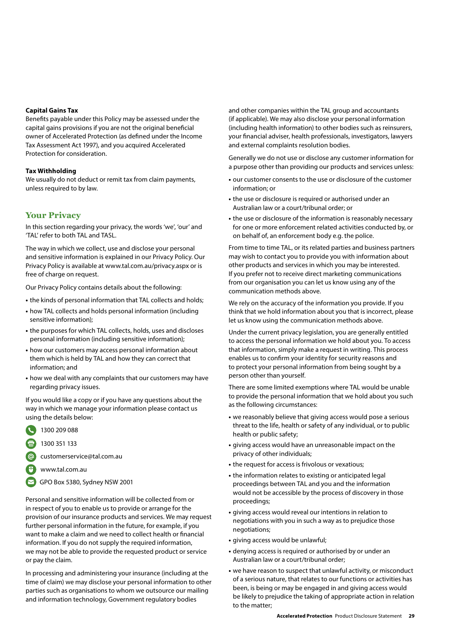#### **Capital Gains Tax**

Benefits payable under this Policy may be assessed under the capital gains provisions if you are not the original beneficial owner of Accelerated Protection (as defined under the Income Tax Assessment Act 1997), and you acquired Accelerated Protection for consideration.

#### **Tax Withholding**

We usually do not deduct or remit tax from claim payments, unless required to by law.

## **Your Privacy**

In this section regarding your privacy, the words 'we', 'our' and 'TAL' refer to both TAL and TASL.

The way in which we collect, use and disclose your personal and sensitive information is explained in our Privacy Policy. Our Privacy Policy is available at www.tal.com.au/privacy.aspx or is free of charge on request.

Our Privacy Policy contains details about the following:

- **•** the kinds of personal information that TAL collects and holds;
- **•** how TAL collects and holds personal information (including sensitive information);
- **•** the purposes for which TAL collects, holds, uses and discloses personal information (including sensitive information);
- **•** how our customers may access personal information about them which is held by TAL and how they can correct that information; and
- **•** how we deal with any complaints that our customers may have regarding privacy issues.

If you would like a copy or if you have any questions about the way in which we manage your information please contact us using the details below:

- 1300 209 088
- 1300 351 133

customerservice@tal.com.au

- www.tal.com.au
- GPO Box 5380, Sydney NSW 2001

Personal and sensitive information will be collected from or in respect of you to enable us to provide or arrange for the provision of our insurance products and services. We may request further personal information in the future, for example, if you want to make a claim and we need to collect health or financial information. If you do not supply the required information, we may not be able to provide the requested product or service or pay the claim.

In processing and administering your insurance (including at the time of claim) we may disclose your personal information to other parties such as organisations to whom we outsource our mailing and information technology, Government regulatory bodies

and other companies within the TAL group and accountants (if applicable). We may also disclose your personal information (including health information) to other bodies such as reinsurers, your financial adviser, health professionals, investigators, lawyers and external complaints resolution bodies.

Generally we do not use or disclose any customer information for a purpose other than providing our products and services unless:

- **•** our customer consents to the use or disclosure of the customer information; or
- **•** the use or disclosure is required or authorised under an Australian law or a court/tribunal order; or
- **•** the use or disclosure of the information is reasonably necessary for one or more enforcement related activities conducted by, or on behalf of, an enforcement body e.g. the police.

From time to time TAL, or its related parties and business partners may wish to contact you to provide you with information about other products and services in which you may be interested. If you prefer not to receive direct marketing communications from our organisation you can let us know using any of the communication methods above.

We rely on the accuracy of the information you provide. If you think that we hold information about you that is incorrect, please let us know using the communication methods above.

Under the current privacy legislation, you are generally entitled to access the personal information we hold about you. To access that information, simply make a request in writing. This process enables us to confirm your identity for security reasons and to protect your personal information from being sought by a person other than yourself.

There are some limited exemptions where TAL would be unable to provide the personal information that we hold about you such as the following circumstances:

- **•** we reasonably believe that giving access would pose a serious threat to the life, health or safety of any individual, or to public health or public safety;
- **•** giving access would have an unreasonable impact on the privacy of other individuals;
- **•** the request for access is frivolous or vexatious;
- **•** the information relates to existing or anticipated legal proceedings between TAL and you and the information would not be accessible by the process of discovery in those proceedings;
- **•** giving access would reveal our intentions in relation to negotiations with you in such a way as to prejudice those negotiations;
- **•** giving access would be unlawful;
- **•** denying access is required or authorised by or under an Australian law or a court/tribunal order;
- **•** we have reason to suspect that unlawful activity, or misconduct of a serious nature, that relates to our functions or activities has been, is being or may be engaged in and giving access would be likely to prejudice the taking of appropriate action in relation to the matter;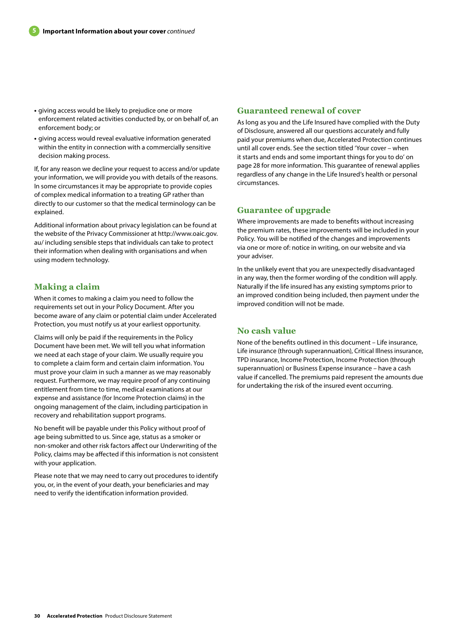- **•** giving access would be likely to prejudice one or more enforcement related activities conducted by, or on behalf of, an enforcement body; or
- **•** giving access would reveal evaluative information generated within the entity in connection with a commercially sensitive decision making process.

If, for any reason we decline your request to access and/or update your information, we will provide you with details of the reasons. In some circumstances it may be appropriate to provide copies of complex medical information to a treating GP rather than directly to our customer so that the medical terminology can be explained.

Additional information about privacy legislation can be found at the website of the Privacy Commissioner at http://www.oaic.gov. au/ including sensible steps that individuals can take to protect their information when dealing with organisations and when using modern technology.

## **Making a claim**

When it comes to making a claim you need to follow the requirements set out in your Policy Document. After you become aware of any claim or potential claim under Accelerated Protection, you must notify us at your earliest opportunity.

Claims will only be paid if the requirements in the Policy Document have been met. We will tell you what information we need at each stage of your claim. We usually require you to complete a claim form and certain claim information. You must prove your claim in such a manner as we may reasonably request. Furthermore, we may require proof of any continuing entitlement from time to time, medical examinations at our expense and assistance (for Income Protection claims) in the ongoing management of the claim, including participation in recovery and rehabilitation support programs.

No benefit will be payable under this Policy without proof of age being submitted to us. Since age, status as a smoker or non-smoker and other risk factors affect our Underwriting of the Policy, claims may be affected if this information is not consistent with your application.

Please note that we may need to carry out procedures to identify you, or, in the event of your death, your beneficiaries and may need to verify the identification information provided.

#### **Guaranteed renewal of cover**

As long as you and the Life Insured have complied with the Duty of Disclosure, answered all our questions accurately and fully paid your premiums when due, Accelerated Protection continues until all cover ends. See the section titled 'Your cover – when it starts and ends and some important things for you to do' on page 28 for more information. This guarantee of renewal applies regardless of any change in the Life Insured's health or personal circumstances.

### **Guarantee of upgrade**

Where improvements are made to benefits without increasing the premium rates, these improvements will be included in your Policy. You will be notified of the changes and improvements via one or more of: notice in writing, on our website and via your adviser.

In the unlikely event that you are unexpectedly disadvantaged in any way, then the former wording of the condition will apply. Naturally if the life insured has any existing symptoms prior to an improved condition being included, then payment under the improved condition will not be made.

## **No cash value**

None of the benefits outlined in this document – Life insurance, Life insurance (through superannuation), Critical Illness insurance, TPD insurance, Income Protection, Income Protection (through superannuation) or Business Expense insurance – have a cash value if cancelled. The premiums paid represent the amounts due for undertaking the risk of the insured event occurring.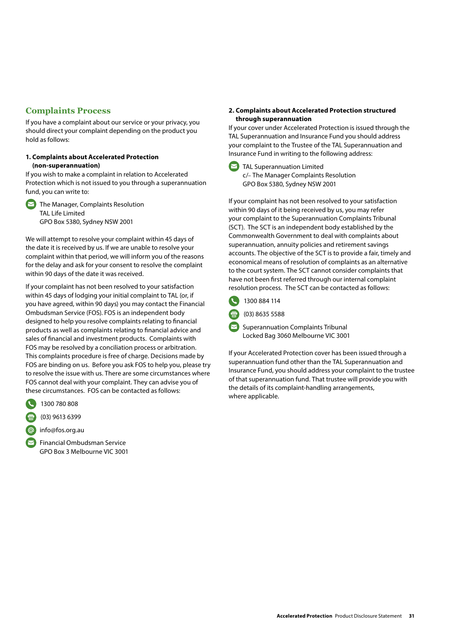## **Complaints Process**

If you have a complaint about our service or your privacy, you should direct your complaint depending on the product you hold as follows:

#### **1. Complaints about Accelerated Protection (non-superannuation)**

If you wish to make a complaint in relation to Accelerated Protection which is not issued to you through a superannuation fund, you can write to:

 $\triangleright$  The Manager, Complaints Resolution TAL Life Limited GPO Box 5380, Sydney NSW 2001

We will attempt to resolve your complaint within 45 days of the date it is received by us. If we are unable to resolve your complaint within that period, we will inform you of the reasons for the delay and ask for your consent to resolve the complaint within 90 days of the date it was received.

If your complaint has not been resolved to your satisfaction within 45 days of lodging your initial complaint to TAL (or, if you have agreed, within 90 days) you may contact the Financial Ombudsman Service (FOS). FOS is an independent body designed to help you resolve complaints relating to financial products as well as complaints relating to financial advice and sales of financial and investment products. Complaints with FOS may be resolved by a conciliation process or arbitration. This complaints procedure is free of charge. Decisions made by FOS are binding on us. Before you ask FOS to help you, please try to resolve the issue with us. There are some circumstances where FOS cannot deal with your complaint. They can advise you of these circumstances. FOS can be contacted as follows:

- 1300 780 808
- (03) 9613 6399
- info@fos.org.au
- **Financial Ombudsman Service** GPO Box 3 Melbourne VIC 3001

#### **2. Complaints about Accelerated Protection structured through superannuation**

If your cover under Accelerated Protection is issued through the TAL Superannuation and Insurance Fund you should address your complaint to the Trustee of the TAL Superannuation and Insurance Fund in writing to the following address:



If your complaint has not been resolved to your satisfaction within 90 days of it being received by us, you may refer your complaint to the Superannuation Complaints Tribunal (SCT). The SCT is an independent body established by the Commonwealth Government to deal with complaints about superannuation, annuity policies and retirement savings accounts. The objective of the SCT is to provide a fair, timely and economical means of resolution of complaints as an alternative to the court system. The SCT cannot consider complaints that have not been first referred through our internal complaint resolution process. The SCT can be contacted as follows:

1300 884 114

 $\frac{1}{10}$  (03) 8635 5588

 $\sim$  Superannuation Complaints Tribunal Locked Bag 3060 Melbourne VIC 3001

If your Accelerated Protection cover has been issued through a superannuation fund other than the TAL Superannuation and Insurance Fund, you should address your complaint to the trustee of that superannuation fund. That trustee will provide you with the details of its complaint-handling arrangements, where applicable.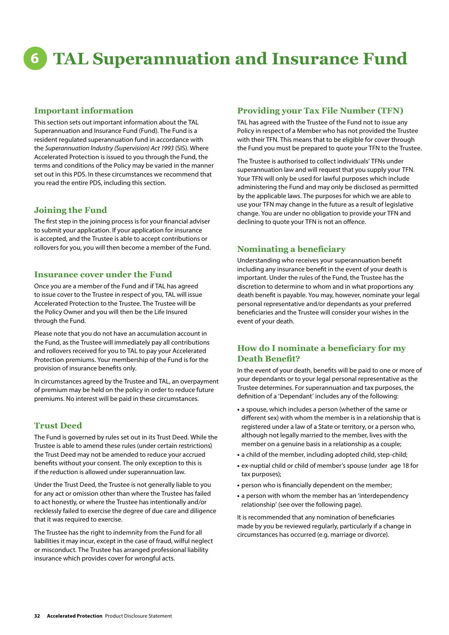# **6 TAL Superannuation and Insurance Fund**

## **Important information**

This section sets out important information about the TAL Superannuation and Insurance Fund (Fund). The Fund is a resident regulated superannuation fund in accordance with the *Superannuation Industry (Supervision) Act 1993* (SIS). Where Accelerated Protection is issued to you through the Fund, the terms and conditions of the Policy may be varied in the manner set out in this PDS. In these circumstances we recommend that you read the entire PDS, including this section.

## **Joining the Fund**

The first step in the joining process is for your financial adviser to submit your application. If your application for insurance is accepted, and the Trustee is able to accept contributions or rollovers for you, you will then become a member of the Fund.

## **Insurance cover under the Fund**

Once you are a member of the Fund and if TAL has agreed to issue cover to the Trustee in respect of you, TAL will issue Accelerated Protection to the Trustee. The Trustee will be the Policy Owner and you will then be the Life Insured through the Fund.

Please note that you do not have an accumulation account in the Fund, as the Trustee will immediately pay all contributions and rollovers received for you to TAL to pay your Accelerated Protection premiums. Your membership of the Fund is for the provision of insurance benefits only.

In circumstances agreed by the Trustee and TAL, an overpayment of premium may be held on the policy in order to reduce future premiums. No interest will be paid in these circumstances.

## **Trust Deed**

The Fund is governed by rules set out in its Trust Deed. While the Trustee is able to amend these rules (under certain restrictions) the Trust Deed may not be amended to reduce your accrued benefits without your consent. The only exception to this is if the reduction is allowed under superannuation law.

Under the Trust Deed, the Trustee is not generally liable to you for any act or omission other than where the Trustee has failed to act honestly, or where the Trustee has intentionally and/or recklessly failed to exercise the degree of due care and diligence that it was required to exercise.

The Trustee has the right to indemnity from the Fund for all liabilities it may incur, except in the case of fraud, wilful neglect or misconduct. The Trustee has arranged professional liability insurance which provides cover for wrongful acts.

## **Providing your Tax File Number (TFN)**

TAL has agreed with the Trustee of the Fund not to issue any Policy in respect of a Member who has not provided the Trustee with their TFN. This means that to be eligible for cover through the Fund you must be prepared to quote your TFN to the Trustee.

The Trustee is authorised to collect individuals' TFNs under superannuation law and will request that you supply your TFN. Your TFN will only be used for lawful purposes which include administering the Fund and may only be disclosed as permitted by the applicable laws. The purposes for which we are able to use your TFN may change in the future as a result of legislative change. You are under no obligation to provide your TFN and declining to quote your TFN is not an offence.

## **Nominating a beneficiary**

Understanding who receives your superannuation benefit including any insurance benefit in the event of your death is important. Under the rules of the Fund, the Trustee has the discretion to determine to whom and in what proportions any death benefit is payable. You may, however, nominate your legal personal representative and/or dependants as your preferred beneficiaries and the Trustee will consider your wishes in the event of your death.

## **How do I nominate a beneficiary for my Death Benefit?**

In the event of your death, benefits will be paid to one or more of your dependants or to your legal personal representative as the Trustee determines. For superannuation and tax purposes, the definition of a 'Dependant' includes any of the following:

- **•** a spouse, which includes a person (whether of the same or different sex) with whom the member is in a relationship that is registered under a law of a State or territory, or a person who, although not legally married to the member, lives with the member on a genuine basis in a relationship as a couple;
- **•** a child of the member, including adopted child, step-child;
- **•** ex-nuptial child or child of member's spouse (under age 18 for tax purposes);
- **•** person who is financially dependent on the member;
- **•** a person with whom the member has an 'interdependency relationship' (see over the following page).

It is recommended that any nomination of beneficiaries made by you be reviewed regularly, particularly if a change in circumstances has occurred (e.g. marriage or divorce).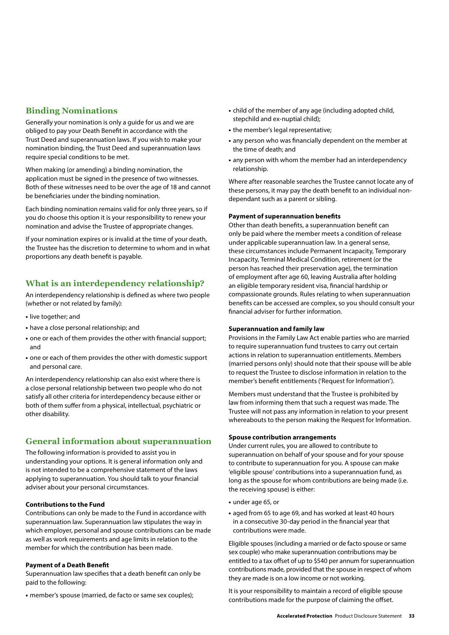## **Binding Nominations**

Generally your nomination is only a guide for us and we are obliged to pay your Death Benefit in accordance with the Trust Deed and superannuation laws. If you wish to make your nomination binding, the Trust Deed and superannuation laws require special conditions to be met.

When making (or amending) a binding nomination, the application must be signed in the presence of two witnesses. Both of these witnesses need to be over the age of 18 and cannot be beneficiaries under the binding nomination.

Each binding nomination remains valid for only three years, so if you do choose this option it is your responsibility to renew your nomination and advise the Trustee of appropriate changes.

If your nomination expires or is invalid at the time of your death, the Trustee has the discretion to determine to whom and in what proportions any death benefit is payable.

## **What is an interdependency relationship?**

An interdependency relationship is defined as where two people (whether or not related by family):

- **•** live together; and
- **•** have a close personal relationship; and
- **•** one or each of them provides the other with financial support; and
- **•** one or each of them provides the other with domestic support and personal care.

An interdependency relationship can also exist where there is a close personal relationship between two people who do not satisfy all other criteria for interdependency because either or both of them suffer from a physical, intellectual, psychiatric or other disability.

## **General information about superannuation**

The following information is provided to assist you in understanding your options. It is general information only and is not intended to be a comprehensive statement of the laws applying to superannuation. You should talk to your financial adviser about your personal circumstances.

#### **Contributions to the Fund**

Contributions can only be made to the Fund in accordance with superannuation law. Superannuation law stipulates the way in which employer, personal and spouse contributions can be made as well as work requirements and age limits in relation to the member for which the contribution has been made.

#### **Payment of a Death Benefit**

Superannuation law specifies that a death benefit can only be paid to the following:

**•** member's spouse (married, de facto or same sex couples);

- **•** child of the member of any age (including adopted child, stepchild and ex-nuptial child);
- **•** the member's legal representative;
- **•** any person who was financially dependent on the member at the time of death; and
- **•** any person with whom the member had an interdependency relationship.

Where after reasonable searches the Trustee cannot locate any of these persons, it may pay the death benefit to an individual nondependant such as a parent or sibling.

#### **Payment of superannuation benefits**

Other than death benefits, a superannuation benefit can only be paid where the member meets a condition of release under applicable superannuation law. In a general sense, these circumstances include Permanent Incapacity, Temporary Incapacity, Terminal Medical Condition, retirement (or the person has reached their preservation age), the termination of employment after age 60, leaving Australia after holding an eligible temporary resident visa, financial hardship or compassionate grounds. Rules relating to when superannuation benefits can be accessed are complex, so you should consult your financial adviser for further information.

#### **Superannuation and family law**

Provisions in the Family Law Act enable parties who are married to require superannuation fund trustees to carry out certain actions in relation to superannuation entitlements. Members (married persons only) should note that their spouse will be able to request the Trustee to disclose information in relation to the member's benefit entitlements ('Request for Information').

Members must understand that the Trustee is prohibited by law from informing them that such a request was made. The Trustee will not pass any information in relation to your present whereabouts to the person making the Request for Information.

#### **Spouse contribution arrangements**

Under current rules, you are allowed to contribute to superannuation on behalf of your spouse and for your spouse to contribute to superannuation for you. A spouse can make 'eligible spouse' contributions into a superannuation fund, as long as the spouse for whom contributions are being made (i.e. the receiving spouse) is either:

- **•** under age 65, or
- **•** aged from 65 to age 69, and has worked at least 40 hours in a consecutive 30-day period in the financial year that contributions were made.

Eligible spouses (including a married or de facto spouse or same sex couple) who make superannuation contributions may be entitled to a tax offset of up to \$540 per annum for superannuation contributions made, provided that the spouse in respect of whom they are made is on a low income or not working.

It is your responsibility to maintain a record of eligible spouse contributions made for the purpose of claiming the offset.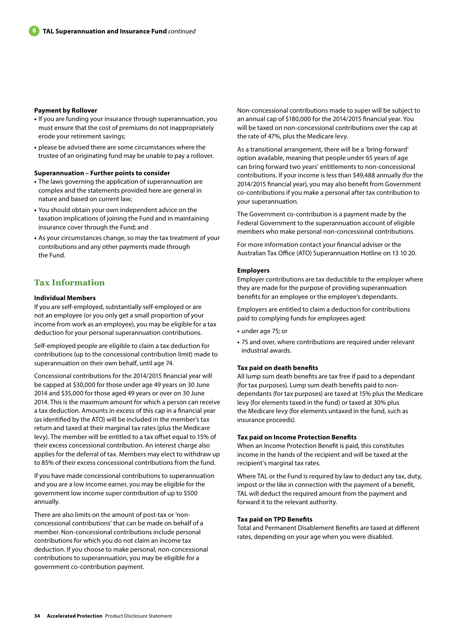#### **Payment by Rollover**

- **•** If you are funding your insurance through superannuation, you must ensure that the cost of premiums do not inappropriately erode your retirement savings;
- **•** please be advised there are some circumstances where the trustee of an originating fund may be unable to pay a rollover.

#### **Superannuation – Further points to consider**

- **•** The laws governing the application of superannuation are complex and the statements provided here are general in nature and based on current law;
- **•** You should obtain your own independent advice on the taxation implications of joining the Fund and in maintaining insurance cover through the Fund; and
- **•** As your circumstances change, so may the tax treatment of your contributions and any other payments made through the Fund.

## **Tax Information**

#### **Individual Members**

If you are self-employed, substantially self-employed or are not an employee (or you only get a small proportion of your income from work as an employee), you may be eligible for a tax deduction for your personal superannuation contributions.

Self-employed people are eligible to claim a tax deduction for contributions (up to the concessional contribution limit) made to superannuation on their own behalf, until age 74.

Concessional contributions for the 2014/2015 financial year will be capped at \$30,000 for those under age 49 years on 30 June 2014 and \$35,000 for those aged 49 years or over on 30 June 2014. This is the maximum amount for which a person can receive a tax deduction. Amounts in excess of this cap in a financial year (as identified by the ATO) will be included in the member's tax return and taxed at their marginal tax rates (plus the Medicare levy). The member will be entitled to a tax offset equal to 15% of their excess concessional contribution. An interest charge also applies for the deferral of tax. Members may elect to withdraw up to 85% of their excess concessional contributions from the fund.

If you have made concessional contributions to superannuation and you are a low income earner, you may be eligible for the government low income super contribution of up to \$500 annually.

There are also limits on the amount of post-tax or 'nonconcessional contributions' that can be made on behalf of a member. Non-concessional contributions include personal contributions for which you do not claim an income tax deduction. If you choose to make personal, non-concessional contributions to superannuation, you may be eligible for a government co-contribution payment.

Non-concessional contributions made to super will be subject to an annual cap of \$180,000 for the 2014/2015 financial year. You will be taxed on non-concessional contributions over the cap at the rate of 47%, plus the Medicare levy.

As a transitional arrangement, there will be a 'bring-forward' option available, meaning that people under 65 years of age can bring forward two years' entitlements to non-concessional contributions. If your income is less than \$49,488 annually (for the 2014/2015 financial year), you may also benefit from Government co-contributions if you make a personal after tax contribution to your superannuation.

The Government co-contribution is a payment made by the Federal Government to the superannuation account of eligible members who make personal non-concessional contributions.

For more information contact your financial adviser or the Australian Tax Office (ATO) Superannuation Hotline on 13 10 20.

#### **Employers**

Employer contributions are tax deductible to the employer where they are made for the purpose of providing superannuation benefits for an employee or the employee's dependants.

Employers are entitled to claim a deduction for contributions paid to complying funds for employees aged:

- **•** under age 75; or
- **•** 75 and over, where contributions are required under relevant industrial awards.

#### **Tax paid on death benefits**

All lump sum death benefits are tax free if paid to a dependant (for tax purposes). Lump sum death benefits paid to nondependants (for tax purposes) are taxed at 15% plus the Medicare levy (for elements taxed in the fund) or taxed at 30% plus the Medicare levy (for elements untaxed in the fund, such as insurance proceeds).

#### **Tax paid on Income Protection Benefits**

When an Income Protection Benefit is paid, this constitutes income in the hands of the recipient and will be taxed at the recipient's marginal tax rates.

Where TAL or the Fund is required by law to deduct any tax, duty, impost or the like in connection with the payment of a benefit, TAL will deduct the required amount from the payment and forward it to the relevant authority.

#### **Tax paid on TPD Benefits**

Total and Permanent Disablement Benefits are taxed at different rates, depending on your age when you were disabled.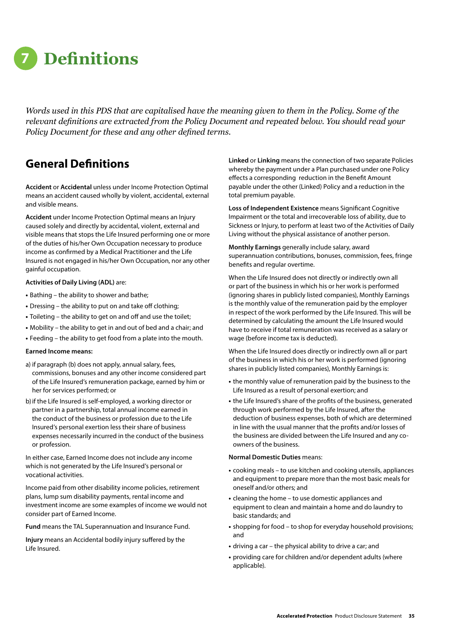

*Words used in this PDS that are capitalised have the meaning given to them in the Policy. Some of the relevant definitions are extracted from the Policy Document and repeated below. You should read your Policy Document for these and any other defined terms.*

## **General Definitions**

**Accident** or **Accidental** unless under Income Protection Optimal means an accident caused wholly by violent, accidental, external and visible means.

**Accident** under Income Protection Optimal means an Injury caused solely and directly by accidental, violent, external and visible means that stops the Life Insured performing one or more of the duties of his/her Own Occupation necessary to produce income as confirmed by a Medical Practitioner and the Life Insured is not engaged in his/her Own Occupation, nor any other gainful occupation.

#### **Activities of Daily Living (ADL)** are:

- **•** Bathing the ability to shower and bathe;
- **•** Dressing the ability to put on and take off clothing;
- **•** Toileting the ability to get on and off and use the toilet;
- **•** Mobility the ability to get in and out of bed and a chair; and
- **•** Feeding the ability to get food from a plate into the mouth.

#### **Earned Income means:**

- a) if paragraph (b) does not apply, annual salary, fees, commissions, bonuses and any other income considered part of the Life Insured's remuneration package, earned by him or her for services performed; or
- b)if the Life Insured is self-employed, a working director or partner in a partnership, total annual income earned in the conduct of the business or profession due to the Life Insured's personal exertion less their share of business expenses necessarily incurred in the conduct of the business or profession.

In either case, Earned Income does not include any income which is not generated by the Life Insured's personal or vocational activities.

Income paid from other disability income policies, retirement plans, lump sum disability payments, rental income and investment income are some examples of income we would not consider part of Earned Income.

**Fund** means the TAL Superannuation and Insurance Fund.

**Injury** means an Accidental bodily injury suffered by the Life Insured.

**Linked** or **Linking** means the connection of two separate Policies whereby the payment under a Plan purchased under one Policy effects a corresponding reduction in the Benefit Amount payable under the other (Linked) Policy and a reduction in the total premium payable.

**Loss of Independent Existence** means Significant Cognitive Impairment or the total and irrecoverable loss of ability, due to Sickness or Injury, to perform at least two of the Activities of Daily Living without the physical assistance of another person.

**Monthly Earnings** generally include salary, award superannuation contributions, bonuses, commission, fees, fringe benefits and regular overtime.

When the Life Insured does not directly or indirectly own all or part of the business in which his or her work is performed (ignoring shares in publicly listed companies), Monthly Earnings is the monthly value of the remuneration paid by the employer in respect of the work performed by the Life Insured. This will be determined by calculating the amount the Life Insured would have to receive if total remuneration was received as a salary or wage (before income tax is deducted).

When the Life Insured does directly or indirectly own all or part of the business in which his or her work is performed (ignoring shares in publicly listed companies), Monthly Earnings is:

- **•** the monthly value of remuneration paid by the business to the Life Insured as a result of personal exertion; and
- **•** the Life Insured's share of the profits of the business, generated through work performed by the Life Insured, after the deduction of business expenses, both of which are determined in line with the usual manner that the profits and/or losses of the business are divided between the Life Insured and any coowners of the business.

#### **Normal Domestic Duties** means:

- **•** cooking meals to use kitchen and cooking utensils, appliances and equipment to prepare more than the most basic meals for oneself and/or others; and
- **•** cleaning the home to use domestic appliances and equipment to clean and maintain a home and do laundry to basic standards; and
- **•** shopping for food to shop for everyday household provisions; and
- **•** driving a car the physical ability to drive a car; and
- **•** providing care for children and/or dependent adults (where applicable).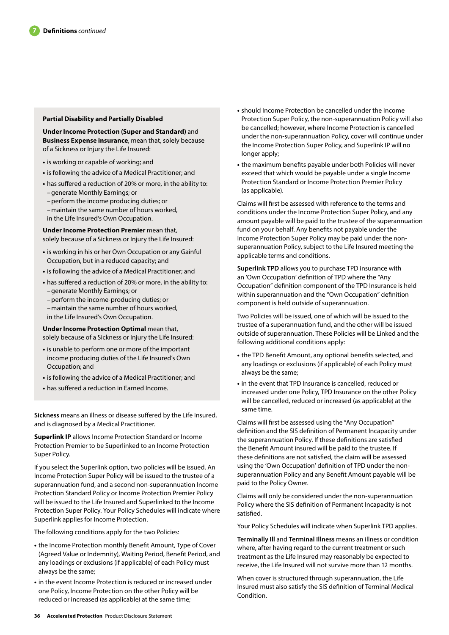#### **Partial Disability and Partially Disabled**

**Under Income Protection (Super and Standard)** and **Business Expense insurance**, mean that, solely because of a Sickness or Injury the Life Insured:

- **•** is working or capable of working; and
- **•** is following the advice of a Medical Practitioner; and
- **•** has suffered a reduction of 20% or more, in the ability to: –generate Monthly Earnings; or
- –perform the income producing duties; or
- –maintain the same number of hours worked, in the Life Insured's Own Occupation.

**Under Income Protection Premier** mean that, solely because of a Sickness or Injury the Life Insured:

- **•** is working in his or her Own Occupation or any Gainful Occupation, but in a reduced capacity; and
- **•** is following the advice of a Medical Practitioner; and
- **•** has suffered a reduction of 20% or more, in the ability to: –generate Monthly Earnings; or
	- –perform the income-producing duties; or
	- –maintain the same number of hours worked,
	- in the Life Insured's Own Occupation.

**Under Income Protection Optimal** mean that, solely because of a Sickness or Injury the Life Insured:

- **•** is unable to perform one or more of the important income producing duties of the Life Insured's Own Occupation; and
- **•** is following the advice of a Medical Practitioner; and
- **•** has suffered a reduction in Earned Income.

**Sickness** means an illness or disease suffered by the Life Insured, and is diagnosed by a Medical Practitioner.

**Superlink IP** allows Income Protection Standard or Income Protection Premier to be Superlinked to an Income Protection Super Policy.

If you select the Superlink option, two policies will be issued. An Income Protection Super Policy will be issued to the trustee of a superannuation fund, and a second non-superannuation Income Protection Standard Policy or Income Protection Premier Policy will be issued to the Life Insured and Superlinked to the Income Protection Super Policy. Your Policy Schedules will indicate where Superlink applies for Income Protection.

The following conditions apply for the two Policies:

- **•** the Income Protection monthly Benefit Amount, Type of Cover (Agreed Value or Indemnity), Waiting Period, Benefit Period, and any loadings or exclusions (if applicable) of each Policy must always be the same;
- **•** in the event Income Protection is reduced or increased under one Policy, Income Protection on the other Policy will be reduced or increased (as applicable) at the same time;
- **•** should Income Protection be cancelled under the Income Protection Super Policy, the non-superannuation Policy will also be cancelled; however, where Income Protection is cancelled under the non-superannuation Policy, cover will continue under the Income Protection Super Policy, and Superlink IP will no longer apply;
- **•** the maximum benefits payable under both Policies will never exceed that which would be payable under a single Income Protection Standard or Income Protection Premier Policy (as applicable).

Claims will first be assessed with reference to the terms and conditions under the Income Protection Super Policy, and any amount payable will be paid to the trustee of the superannuation fund on your behalf. Any benefits not payable under the Income Protection Super Policy may be paid under the nonsuperannuation Policy, subject to the Life Insured meeting the applicable terms and conditions.

**Superlink TPD** allows you to purchase TPD insurance with an 'Own Occupation' definition of TPD where the "Any Occupation" definition component of the TPD Insurance is held within superannuation and the "Own Occupation" definition component is held outside of superannuation.

Two Policies will be issued, one of which will be issued to the trustee of a superannuation fund, and the other will be issued outside of superannuation. These Policies will be Linked and the following additional conditions apply:

- **•** the TPD Benefit Amount, any optional benefits selected, and any loadings or exclusions (if applicable) of each Policy must always be the same;
- **•** in the event that TPD Insurance is cancelled, reduced or increased under one Policy, TPD Insurance on the other Policy will be cancelled, reduced or increased (as applicable) at the same time.

Claims will first be assessed using the "Any Occupation" definition and the SIS definition of Permanent Incapacity under the superannuation Policy. If these definitions are satisfied the Benefit Amount insured will be paid to the trustee. If these definitions are not satisfied, the claim will be assessed using the 'Own Occupation' definition of TPD under the nonsuperannuation Policy and any Benefit Amount payable will be paid to the Policy Owner.

Claims will only be considered under the non-superannuation Policy where the SIS definition of Permanent Incapacity is not satisfied.

Your Policy Schedules will indicate when Superlink TPD applies.

**Terminally Ill** and **Terminal Illness** means an illness or condition where, after having regard to the current treatment or such treatment as the Life Insured may reasonably be expected to receive, the Life Insured will not survive more than 12 months.

When cover is structured through superannuation, the Life Insured must also satisfy the SIS definition of Terminal Medical Condition.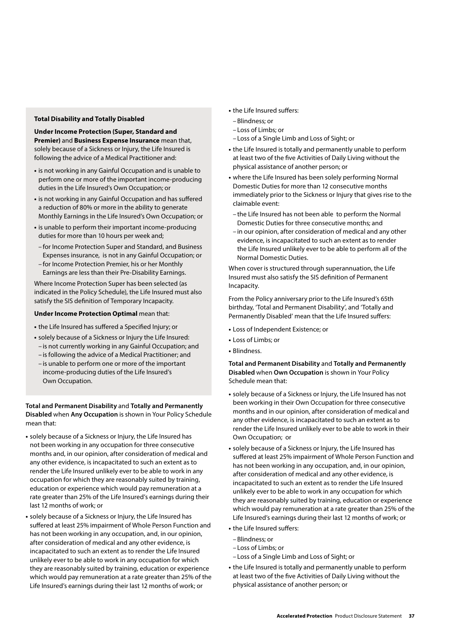#### **Total Disability and Totally Disabled**

**Under Income Protection (Super, Standard and Premier)** and **Business Expense Insurance** mean that, solely because of a Sickness or Injury, the Life Insured is following the advice of a Medical Practitioner and:

- **•** is not working in any Gainful Occupation and is unable to perform one or more of the important income-producing duties in the Life Insured's Own Occupation; or
- **•** is not working in any Gainful Occupation and has suffered a reduction of 80% or more in the ability to generate Monthly Earnings in the Life Insured's Own Occupation; or
- **•** is unable to perform their important income-producing duties for more than 10 hours per week and;
	- for Income Protection Super and Standard, and Business Expenses insurance, is not in any Gainful Occupation; or – for Income Protection Premier, his or her Monthly Earnings are less than their Pre-Disability Earnings.

Where Income Protection Super has been selected (as indicated in the Policy Schedule), the Life Insured must also satisfy the SIS definition of Temporary Incapacity.

#### **Under Income Protection Optimal** mean that:

- **•** the Life Insured has suffered a Specified Injury; or
- **•** solely because of a Sickness or Injury the Life Insured:
- is not currently working in any Gainful Occupation; and
- is following the advice of a Medical Practitioner; and
- is unable to perform one or more of the important income-producing duties of the Life Insured's Own Occupation.

#### **Total and Permanent Disability** and **Totally and Permanently Disabled** when **Any Occupation** is shown in Your Policy Schedule mean that:

- **•** solely because of a Sickness or Injury, the Life Insured has not been working in any occupation for three consecutive months and, in our opinion, after consideration of medical and any other evidence, is incapacitated to such an extent as to render the Life Insured unlikely ever to be able to work in any occupation for which they are reasonably suited by training, education or experience which would pay remuneration at a rate greater than 25% of the Life Insured's earnings during their last 12 months of work; or
- **•** solely because of a Sickness or Injury, the Life Insured has suffered at least 25% impairment of Whole Person Function and has not been working in any occupation, and, in our opinion, after consideration of medical and any other evidence, is incapacitated to such an extent as to render the Life Insured unlikely ever to be able to work in any occupation for which they are reasonably suited by training, education or experience which would pay remuneration at a rate greater than 25% of the Life Insured's earnings during their last 12 months of work; or
- **•** the Life Insured suffers:
- –Blindness; or
- Loss of Limbs; or
- Loss of a Single Limb and Loss of Sight; or
- **•** the Life Insured is totally and permanently unable to perform at least two of the five Activities of Daily Living without the physical assistance of another person; or
- **•** where the Life Insured has been solely performing Normal Domestic Duties for more than 12 consecutive months immediately prior to the Sickness or Injury that gives rise to the claimable event:
- the Life Insured has not been able to perform the Normal Domestic Duties for three consecutive months; and
- in our opinion, after consideration of medical and any other evidence, is incapacitated to such an extent as to render the Life Insured unlikely ever to be able to perform all of the Normal Domestic Duties.

When cover is structured through superannuation, the Life Insured must also satisfy the SIS definition of Permanent Incapacity.

From the Policy anniversary prior to the Life Insured's 65th birthday, 'Total and Permanent Disability', and 'Totally and Permanently Disabled' mean that the Life Insured suffers:

- **•** Loss of Independent Existence; or
- **•** Loss of Limbs; or
- **•** Blindness.

#### **Total and Permanent Disability** and **Totally and Permanently Disabled** when **Own Occupation** is shown in Your Policy Schedule mean that:

- **•** solely because of a Sickness or Injury, the Life Insured has not been working in their Own Occupation for three consecutive months and in our opinion, after consideration of medical and any other evidence, is incapacitated to such an extent as to render the Life Insured unlikely ever to be able to work in their Own Occupation; or
- **•** solely because of a Sickness or Injury, the Life Insured has suffered at least 25% impairment of Whole Person Function and has not been working in any occupation, and, in our opinion, after consideration of medical and any other evidence, is incapacitated to such an extent as to render the Life Insured unlikely ever to be able to work in any occupation for which they are reasonably suited by training, education or experience which would pay remuneration at a rate greater than 25% of the Life Insured's earnings during their last 12 months of work; or
- **•** the Life Insured suffers:
- –Blindness; or
- Loss of Limbs; or
- Loss of a Single Limb and Loss of Sight; or
- **•** the Life Insured is totally and permanently unable to perform at least two of the five Activities of Daily Living without the physical assistance of another person; or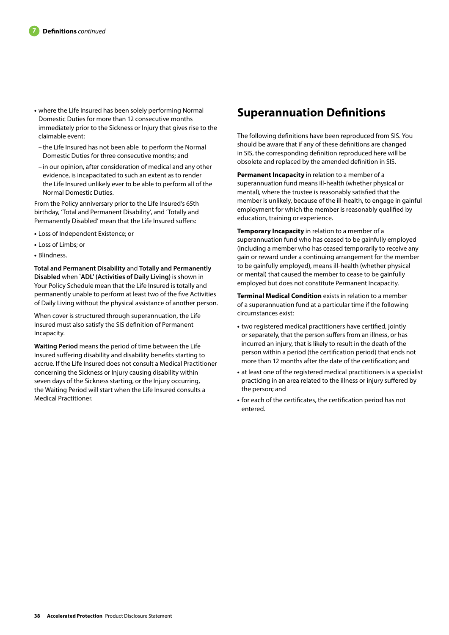- **•** where the Life Insured has been solely performing Normal Domestic Duties for more than 12 consecutive months immediately prior to the Sickness or Injury that gives rise to the claimable event:
	- the Life Insured has not been able to perform the Normal Domestic Duties for three consecutive months; and
	- in our opinion, after consideration of medical and any other evidence, is incapacitated to such an extent as to render the Life Insured unlikely ever to be able to perform all of the Normal Domestic Duties.

From the Policy anniversary prior to the Life Insured's 65th birthday, 'Total and Permanent Disability', and 'Totally and Permanently Disabled' mean that the Life Insured suffers:

- **•** Loss of Independent Existence; or
- **•** Loss of Limbs; or
- **•** Blindness.

**Total and Permanent Disability** and **Totally and Permanently Disabled** when **`ADL' (Activities of Daily Living)** is shown in Your Policy Schedule mean that the Life Insured is totally and permanently unable to perform at least two of the five Activities of Daily Living without the physical assistance of another person.

When cover is structured through superannuation, the Life Insured must also satisfy the SIS definition of Permanent Incapacity.

**Waiting Period** means the period of time between the Life Insured suffering disability and disability benefits starting to accrue. If the Life Insured does not consult a Medical Practitioner concerning the Sickness or Injury causing disability within seven days of the Sickness starting, or the Injury occurring, the Waiting Period will start when the Life Insured consults a Medical Practitioner.

## **Superannuation Definitions**

The following definitions have been reproduced from SIS. You should be aware that if any of these definitions are changed in SIS, the corresponding definition reproduced here will be obsolete and replaced by the amended definition in SIS.

**Permanent Incapacity** in relation to a member of a superannuation fund means ill-health (whether physical or mental), where the trustee is reasonably satisfied that the member is unlikely, because of the ill-health, to engage in gainful employment for which the member is reasonably qualified by education, training or experience.

**Temporary Incapacity** in relation to a member of a superannuation fund who has ceased to be gainfully employed (including a member who has ceased temporarily to receive any gain or reward under a continuing arrangement for the member to be gainfully employed), means ill-health (whether physical or mental) that caused the member to cease to be gainfully employed but does not constitute Permanent Incapacity.

**Terminal Medical Condition** exists in relation to a member of a superannuation fund at a particular time if the following circumstances exist:

- **•** two registered medical practitioners have certified, jointly or separately, that the person suffers from an illness, or has incurred an injury, that is likely to result in the death of the person within a period (the certification period) that ends not more than 12 months after the date of the certification; and
- **•** at least one of the registered medical practitioners is a specialist practicing in an area related to the illness or injury suffered by the person; and
- **•** for each of the certificates, the certification period has not entered.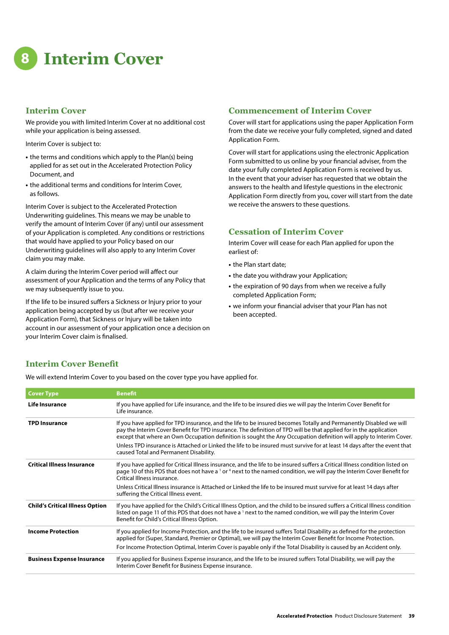**8 Interim Cover**

## **Interim Cover**

We provide you with limited Interim Cover at no additional cost while your application is being assessed.

Interim Cover is subject to:

- **•** the terms and conditions which apply to the Plan(s) being applied for as set out in the Accelerated Protection Policy Document, and
- **•** the additional terms and conditions for Interim Cover, as follows.

Interim Cover is subject to the Accelerated Protection Underwriting guidelines. This means we may be unable to verify the amount of Interim Cover (if any) until our assessment of your Application is completed. Any conditions or restrictions that would have applied to your Policy based on our Underwriting guidelines will also apply to any Interim Cover claim you may make.

A claim during the Interim Cover period will affect our assessment of your Application and the terms of any Policy that we may subsequently issue to you.

If the life to be insured suffers a Sickness or Injury prior to your application being accepted by us (but after we receive your Application Form), that Sickness or Injury will be taken into account in our assessment of your application once a decision on your Interim Cover claim is finalised.

## **Commencement of Interim Cover**

Cover will start for applications using the paper Application Form from the date we receive your fully completed, signed and dated Application Form.

Cover will start for applications using the electronic Application Form submitted to us online by your financial adviser, from the date your fully completed Application Form is received by us. In the event that your adviser has requested that we obtain the answers to the health and lifestyle questions in the electronic Application Form directly from you, cover will start from the date we receive the answers to these questions.

## **Cessation of Interim Cover**

Interim Cover will cease for each Plan applied for upon the earliest of:

- **•** the Plan start date;
- **•** the date you withdraw your Application;
- **•** the expiration of 90 days from when we receive a fully completed Application Form;
- **•** we inform your financial adviser that your Plan has not been accepted.

## **Interim Cover Benefit**

We will extend Interim Cover to you based on the cover type you have applied for.

| <b>Cover Type</b>                      | <b>Benefit</b>                                                                                                                                                                                                                                                                                                                                                  |
|----------------------------------------|-----------------------------------------------------------------------------------------------------------------------------------------------------------------------------------------------------------------------------------------------------------------------------------------------------------------------------------------------------------------|
| Life Insurance                         | If you have applied for Life insurance, and the life to be insured dies we will pay the Interim Cover Benefit for<br>Life insurance.                                                                                                                                                                                                                            |
| <b>TPD Insurance</b>                   | If you have applied for TPD insurance, and the life to be insured becomes Totally and Permanently Disabled we will<br>pay the Interim Cover Benefit for TPD insurance. The definition of TPD will be that applied for in the application<br>except that where an Own Occupation definition is sought the Any Occupation definition will apply to Interim Cover. |
|                                        | Unless TPD insurance is Attached or Linked the life to be insured must survive for at least 14 days after the event that<br>caused Total and Permanent Disability.                                                                                                                                                                                              |
| <b>Critical Illness Insurance</b>      | If you have applied for Critical Illness insurance, and the life to be insured suffers a Critical Illness condition listed on<br>page 10 of this PDS that does not have a <sup>1</sup> or <sup>4</sup> next to the named condition, we will pay the Interim Cover Benefit for<br>Critical Illness insurance.                                                    |
|                                        | Unless Critical Illness insurance is Attached or Linked the life to be insured must survive for at least 14 days after<br>suffering the Critical Illness event.                                                                                                                                                                                                 |
| <b>Child's Critical Illness Option</b> | If you have applied for the Child's Critical Illness Option, and the child to be insured suffers a Critical Illness condition<br>listed on page 11 of this PDS that does not have a <sup>1</sup> next to the named condition, we will pay the Interim Cover<br>Benefit for Child's Critical Illness Option.                                                     |
| <b>Income Protection</b>               | If you applied for Income Protection, and the life to be insured suffers Total Disability as defined for the protection<br>applied for (Super, Standard, Premier or Optimal), we will pay the Interim Cover Benefit for Income Protection.                                                                                                                      |
|                                        | For Income Protection Optimal, Interim Cover is payable only if the Total Disability is caused by an Accident only.                                                                                                                                                                                                                                             |
| <b>Business Expense Insurance</b>      | If you applied for Business Expense insurance, and the life to be insured suffers Total Disability, we will pay the<br>Interim Cover Benefit for Business Expense insurance.                                                                                                                                                                                    |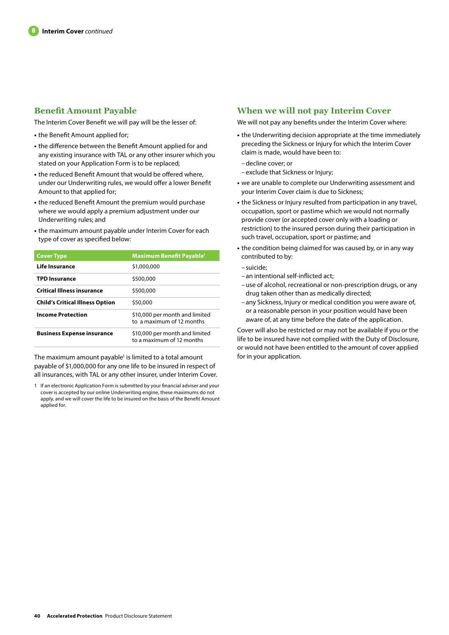## **Benefit Amount Payable**

The Interim Cover Benefit we will pay will be the lesser of:

- **•** the Benefit Amount applied for;
- **•** the difference between the Benefit Amount applied for and any existing insurance with TAL or any other insurer which you stated on your Application Form is to be replaced;
- **•** the reduced Benefit Amount that would be offered where, under our Underwriting rules, we would offer a lower Benefit Amount to that applied for;
- **•** the reduced Benefit Amount the premium would purchase where we would apply a premium adjustment under our Underwriting rules; and
- **•** the maximum amount payable under Interim Cover for each type of cover as specified below:

| <b>Cover Type</b>                      | <b>Maximum Benefit Payable<sup>1</sup></b>                  |
|----------------------------------------|-------------------------------------------------------------|
| Life Insurance                         | \$1,000,000                                                 |
| <b>TPD Insurance</b>                   | \$500,000                                                   |
| <b>Critical Illness insurance</b>      | \$500,000                                                   |
| <b>Child's Critical Illness Option</b> | \$50,000                                                    |
| <b>Income Protection</b>               | \$10,000 per month and limited<br>to a maximum of 12 months |
| <b>Business Expense insurance</b>      | \$10,000 per month and limited<br>to a maximum of 12 months |

The maximum amount payable<sup>1</sup> is limited to a total amount payable of \$1,000,000 for any one life to be insured in respect of all insurances, with TAL or any other insurer, under Interim Cover.

## **When we will not pay Interim Cover**

We will not pay any benefits under the Interim Cover where:

- **•** the Underwriting decision appropriate at the time immediately preceding the Sickness or Injury for which the Interim Cover claim is made, would have been to:
- –decline cover; or
- exclude that Sickness or Injury;
- **•** we are unable to complete our Underwriting assessment and your Interim Cover claim is due to Sickness;
- **•** the Sickness or Injury resulted from participation in any travel, occupation, sport or pastime which we would not normally provide cover (or accepted cover only with a loading or restriction) to the insured person during their participation in such travel, occupation, sport or pastime; and
- **•** the condition being claimed for was caused by, or in any way contributed to by:
- suicide;
- an intentional self-inflicted act;
- –use of alcohol, recreational or non-prescription drugs, or any drug taken other than as medically directed;
- any Sickness, Injury or medical condition you were aware of, or a reasonable person in your position would have been aware of, at any time before the date of the application.

Cover will also be restricted or may not be available if you or the life to be insured have not complied with the Duty of Disclosure, or would not have been entitled to the amount of cover applied for in your application.

<sup>1</sup> If an electronic Application Form is submitted by your financial adviser and your cover is accepted by our online Underwriting engine, these maximums do not apply, and we will cover the life to be insured on the basis of the Benefit Amount applied for.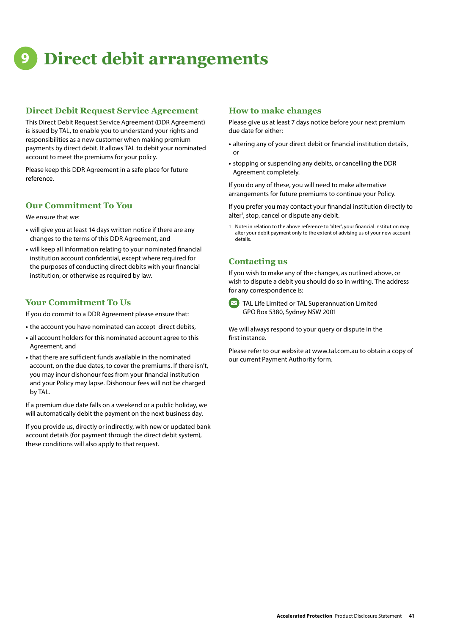## **9 Direct debit arrangements**

## **Direct Debit Request Service Agreement**

This Direct Debit Request Service Agreement (DDR Agreement) is issued by TAL, to enable you to understand your rights and responsibilities as a new customer when making premium payments by direct debit. It allows TAL to debit your nominated account to meet the premiums for your policy.

Please keep this DDR Agreement in a safe place for future reference.

## **Our Commitment To You**

We ensure that we:

- **•** will give you at least 14 days written notice if there are any changes to the terms of this DDR Agreement, and
- **•** will keep all information relating to your nominated financial institution account confidential, except where required for the purposes of conducting direct debits with your financial institution, or otherwise as required by law.

## **Your Commitment To Us**

If you do commit to a DDR Agreement please ensure that:

- **•** the account you have nominated can accept direct debits,
- **•** all account holders for this nominated account agree to this Agreement, and
- **•** that there are sufficient funds available in the nominated account, on the due dates, to cover the premiums. If there isn't, you may incur dishonour fees from your financial institution and your Policy may lapse. Dishonour fees will not be charged by TAL.

If a premium due date falls on a weekend or a public holiday, we will automatically debit the payment on the next business day.

If you provide us, directly or indirectly, with new or updated bank account details (for payment through the direct debit system), these conditions will also apply to that request.

## **How to make changes**

Please give us at least 7 days notice before your next premium due date for either:

- **•** altering any of your direct debit or financial institution details, or
- **•** stopping or suspending any debits, or cancelling the DDR Agreement completely.

If you do any of these, you will need to make alternative arrangements for future premiums to continue your Policy.

If you prefer you may contact your financial institution directly to alter<sup>1</sup>, stop, cancel or dispute any debit.

1 Note: in relation to the above reference to 'alter', your financial institution may alter your debit payment only to the extent of advising us of your new account details.

## **Contacting us**

If you wish to make any of the changes, as outlined above, or wish to dispute a debit you should do so in writing. The address for any correspondence is:



 $\triangleright$  TAL Life Limited or TAL Superannuation Limited GPO Box 5380, Sydney NSW 2001

We will always respond to your query or dispute in the first instance.

Please refer to our website at www.tal.com.au to obtain a copy of our current Payment Authority form.